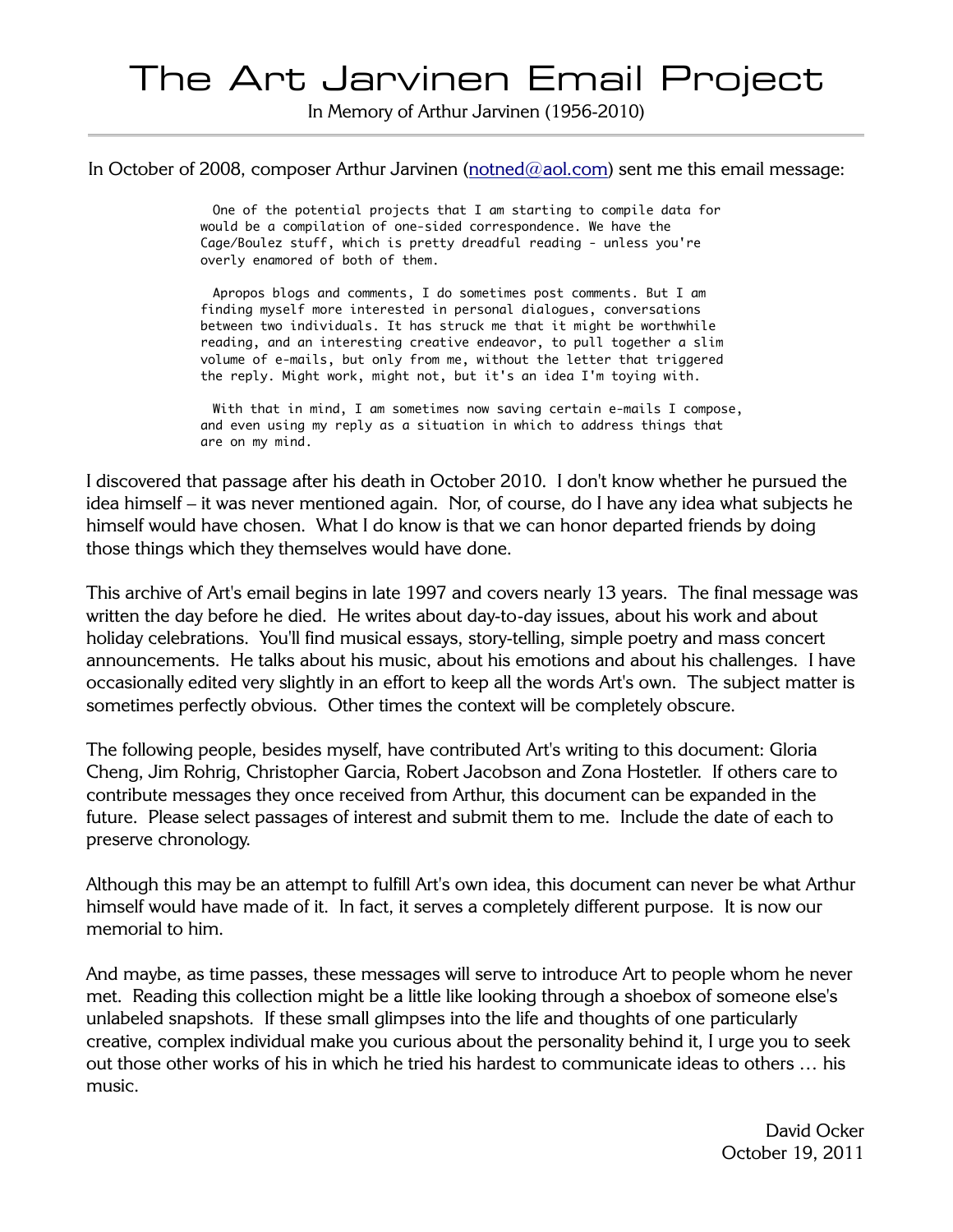# The Art Jarvinen Email Project

In Memory of Arthur Jarvinen (1956-2010)

In October of 2008, composer Arthur Jarvinen (notned@aol.com) sent me this email message:

One of the potential projects that I am starting to compile data for would be a compilation of one-sided correspondence. We have the Cage/Boulez stuff, which is pretty dreadful reading - unless you're overly enamored of both of them.

Apropos blogs and comments, I do sometimes post comments. But I am finding myself more interested in personal dialogues, conversations between two individuals. It has struck me that it might be worthwhile reading, and an interesting creative endeavor, to pull together a slim volume of e-mails, but only from me, without the letter that triggered the reply. Might work, might not, but it's an idea I'm toying with.

With that in mind, I am sometimes now saving certain e-mails I compose, and even using my reply as a situation in which to address things that are on my mind.

I discovered that passage after his death in October 2010. I don't know whether he pursued the idea himself – it was never mentioned again. Nor, of course, do I have any idea what subjects he himself would have chosen. What I do know is that we can honor departed friends by doing those things which they themselves would have done.

This archive of Art's email begins in late 1997 and covers nearly 13 years. The final message was written the day before he died. He writes about day-to-day issues, about his work and about holiday celebrations. You'll find musical essays, story-telling, simple poetry and mass concert announcements. He talks about his music, about his emotions and about his challenges. I have occasionally edited very slightly in an effort to keep all the words Art's own. The subject matter is sometimes perfectly obvious. Other times the context will be completely obscure.

The following people, besides myself, have contributed Art's writing to this document: Gloria Cheng, Jim Rohrig, Christopher Garcia, Robert Jacobson and Zona Hostetler. If others care to contribute messages they once received from Arthur, this document can be expanded in the future. Please select passages of interest and submit them to me. Include the date of each to preserve chronology.

Although this may be an attempt to fulfill Art's own idea, this document can never be what Arthur himself would have made of it. In fact, it serves a completely different purpose. It is now our memorial to him.

And maybe, as time passes, these messages will serve to introduce Art to people whom he never met. Reading this collection might be a little like looking through a shoebox of someone else's unlabeled snapshots. If these small glimpses into the life and thoughts of one particularly creative, complex individual make you curious about the personality behind it, I urge you to seek out those other works of his in which he tried his hardest to communicate ideas to others … his music.

> David Ocker October 19, 2011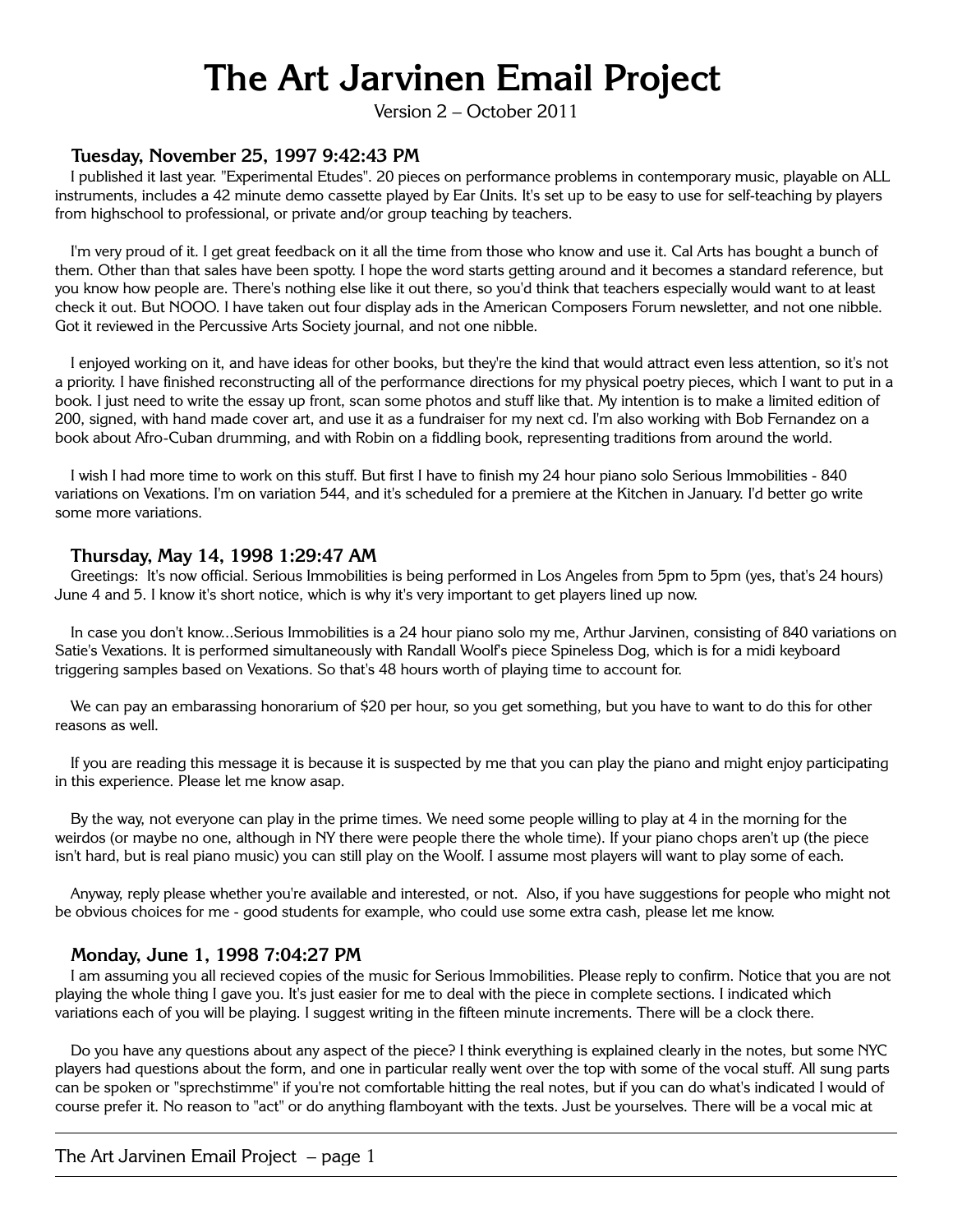# **The Art Jarvinen Email Project**

Version 2 – October 2011

#### **Tuesday, November 25, 1997 9:42:43 PM**

I published it last year. "Experimental Etudes". 20 pieces on performance problems in contemporary music, playable on ALL instruments, includes a 42 minute demo cassette played by Ear Units. It's set up to be easy to use for self-teaching by players from highschool to professional, or private and/or group teaching by teachers.

I'm very proud of it. I get great feedback on it all the time from those who know and use it. Cal Arts has bought a bunch of them. Other than that sales have been spotty. I hope the word starts getting around and it becomes a standard reference, but you know how people are. There's nothing else like it out there, so you'd think that teachers especially would want to at least check it out. But NOOO. I have taken out four display ads in the American Composers Forum newsletter, and not one nibble. Got it reviewed in the Percussive Arts Society journal, and not one nibble.

I enjoyed working on it, and have ideas for other books, but they're the kind that would attract even less attention, so it's not a priority. I have finished reconstructing all of the performance directions for my physical poetry pieces, which I want to put in a book. I just need to write the essay up front, scan some photos and stuff like that. My intention is to make a limited edition of 200, signed, with hand made cover art, and use it as a fundraiser for my next cd. I'm also working with Bob Fernandez on a book about Afro-Cuban drumming, and with Robin on a fiddling book, representing traditions from around the world.

I wish I had more time to work on this stuff. But first I have to finish my 24 hour piano solo Serious Immobilities - 840 variations on Vexations. I'm on variation 544, and it's scheduled for a premiere at the Kitchen in January. I'd better go write some more variations.

#### **Thursday, May 14, 1998 1:29:47 AM**

Greetings: It's now official. Serious Immobilities is being performed in Los Angeles from 5pm to 5pm (yes, that's 24 hours) June 4 and 5. I know it's short notice, which is why it's very important to get players lined up now.

In case you don't know...Serious Immobilities is a 24 hour piano solo my me, Arthur Jarvinen, consisting of 840 variations on Satie's Vexations. It is performed simultaneously with Randall Woolf's piece Spineless Dog, which is for a midi keyboard triggering samples based on Vexations. So that's 48 hours worth of playing time to account for.

We can pay an embarassing honorarium of \$20 per hour, so you get something, but you have to want to do this for other reasons as well.

If you are reading this message it is because it is suspected by me that you can play the piano and might enjoy participating in this experience. Please let me know asap.

By the way, not everyone can play in the prime times. We need some people willing to play at 4 in the morning for the weirdos (or maybe no one, although in NY there were people there the whole time). If your piano chops aren't up (the piece isn't hard, but is real piano music) you can still play on the Woolf. I assume most players will want to play some of each.

Anyway, reply please whether you're available and interested, or not. Also, if you have suggestions for people who might not be obvious choices for me - good students for example, who could use some extra cash, please let me know.

#### **Monday, June 1, 1998 7:04:27 PM**

I am assuming you all recieved copies of the music for Serious Immobilities. Please reply to confirm. Notice that you are not playing the whole thing I gave you. It's just easier for me to deal with the piece in complete sections. I indicated which variations each of you will be playing. I suggest writing in the fifteen minute increments. There will be a clock there.

Do you have any questions about any aspect of the piece? I think everything is explained clearly in the notes, but some NYC players had questions about the form, and one in particular really went over the top with some of the vocal stuff. All sung parts can be spoken or "sprechstimme" if you're not comfortable hitting the real notes, but if you can do what's indicated I would of course prefer it. No reason to "act" or do anything flamboyant with the texts. Just be yourselves. There will be a vocal mic at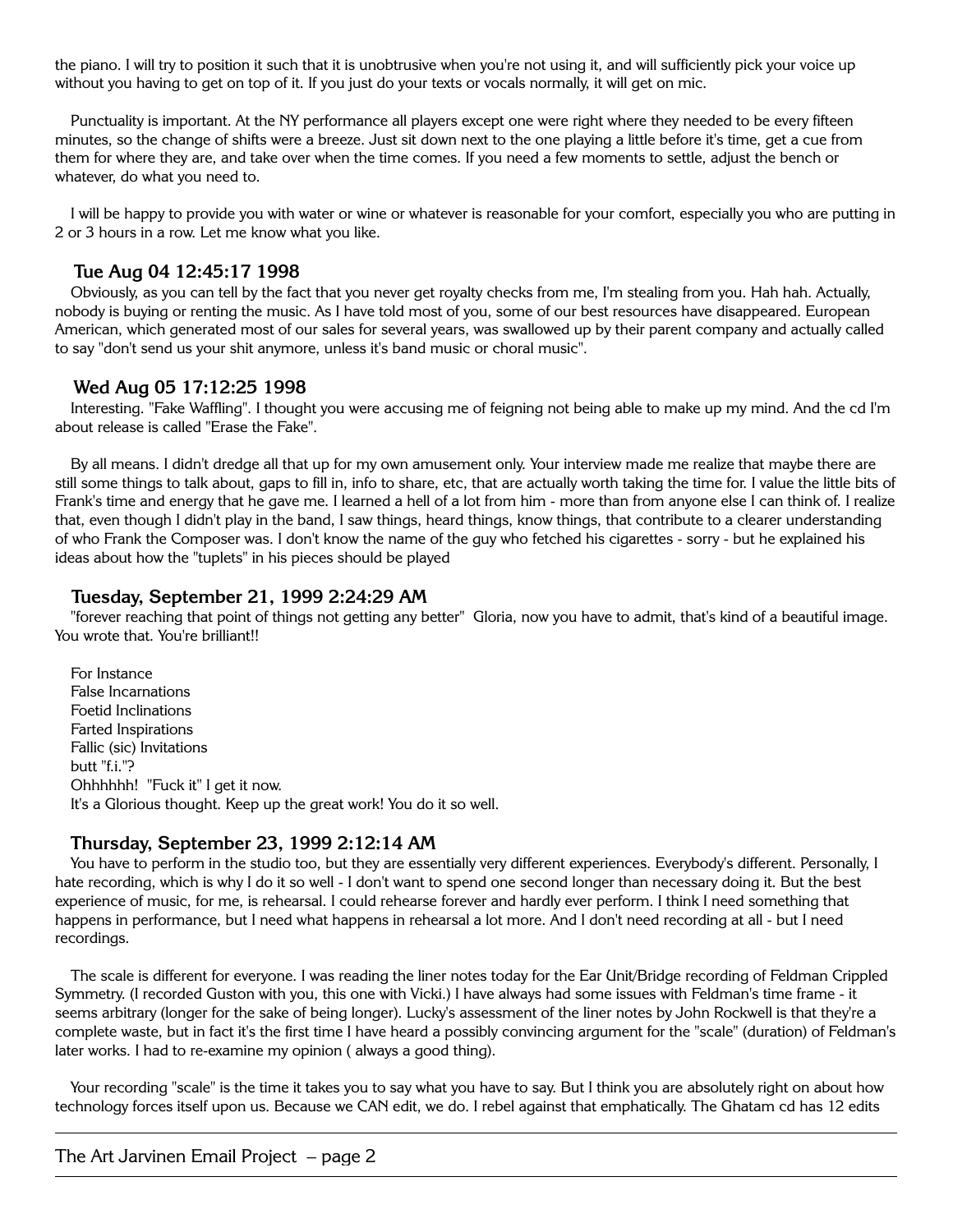the piano. I will try to position it such that it is unobtrusive when you're not using it, and will sufficiently pick your voice up without you having to get on top of it. If you just do your texts or vocals normally, it will get on mic.

Punctuality is important. At the NY performance all players except one were right where they needed to be every fifteen minutes, so the change of shifts were a breeze. Just sit down next to the one playing a little before it's time, get a cue from them for where they are, and take over when the time comes. If you need a few moments to settle, adjust the bench or whatever, do what you need to.

I will be happy to provide you with water or wine or whatever is reasonable for your comfort, especially you who are putting in 2 or 3 hours in a row. Let me know what you like.

## **Tue Aug 04 12:45:17 1998**

Obviously, as you can tell by the fact that you never get royalty checks from me, I'm stealing from you. Hah hah. Actually, nobody is buying or renting the music. As I have told most of you, some of our best resources have disappeared. European American, which generated most of our sales for several years, was swallowed up by their parent company and actually called to say "don't send us your shit anymore, unless it's band music or choral music".

## **Wed Aug 05 17:12:25 1998**

Interesting. "Fake Waffling". I thought you were accusing me of feigning not being able to make up my mind. And the cd I'm about release is called "Erase the Fake".

By all means. I didn't dredge all that up for my own amusement only. Your interview made me realize that maybe there are still some things to talk about, gaps to fill in, info to share, etc, that are actually worth taking the time for. I value the little bits of Frank's time and energy that he gave me. I learned a hell of a lot from him - more than from anyone else I can think of. I realize that, even though I didn't play in the band, I saw things, heard things, know things, that contribute to a clearer understanding of who Frank the Composer was. I don't know the name of the guy who fetched his cigarettes - sorry - but he explained his ideas about how the "tuplets" in his pieces should be played

## **Tuesday, September 21, 1999 2:24:29 AM**

"forever reaching that point of things not getting any better" Gloria, now you have to admit, that's kind of a beautiful image. You wrote that. You're brilliant!!

For Instance False Incarnations Foetid Inclinations Farted Inspirations Fallic (sic) Invitations butt "f.i."? Ohhhhhh! "Fuck it" I get it now. It's a Glorious thought. Keep up the great work! You do it so well.

# **Thursday, September 23, 1999 2:12:14 AM**

You have to perform in the studio too, but they are essentially very different experiences. Everybody's different. Personally, I hate recording, which is why I do it so well - I don't want to spend one second longer than necessary doing it. But the best experience of music, for me, is rehearsal. I could rehearse forever and hardly ever perform. I think I need something that happens in performance, but I need what happens in rehearsal a lot more. And I don't need recording at all - but I need recordings.

The scale is different for everyone. I was reading the liner notes today for the Ear Unit/Bridge recording of Feldman Crippled Symmetry. (I recorded Guston with you, this one with Vicki.) I have always had some issues with Feldman's time frame - it seems arbitrary (longer for the sake of being longer). Lucky's assessment of the liner notes by John Rockwell is that they're a complete waste, but in fact it's the first time I have heard a possibly convincing argument for the "scale" (duration) of Feldman's later works. I had to re-examine my opinion ( always a good thing).

Your recording "scale" is the time it takes you to say what you have to say. But I think you are absolutely right on about how technology forces itself upon us. Because we CAN edit, we do. I rebel against that emphatically. The Ghatam cd has 12 edits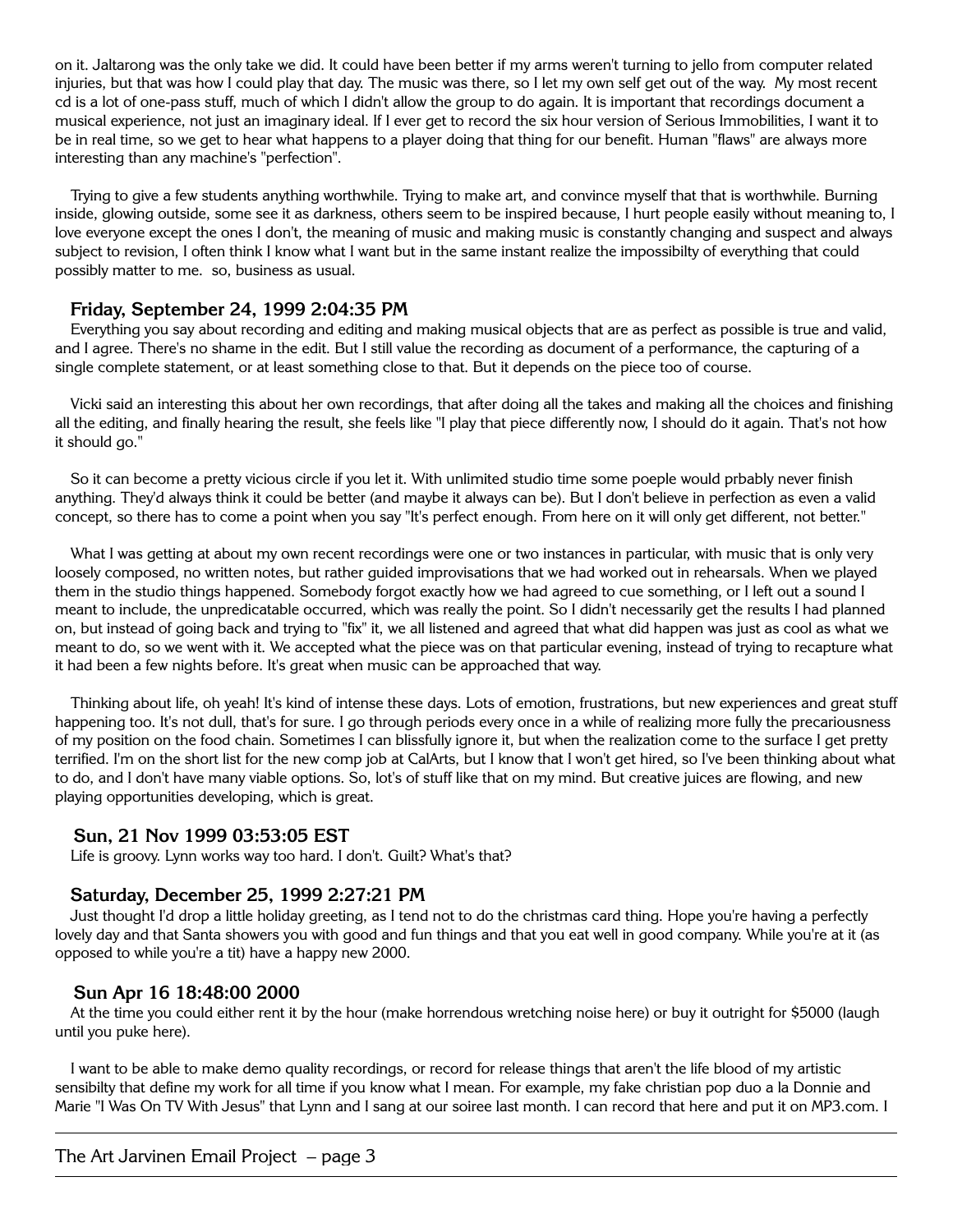on it. Jaltarong was the only take we did. It could have been better if my arms weren't turning to jello from computer related injuries, but that was how I could play that day. The music was there, so I let my own self get out of the way. My most recent cd is a lot of one-pass stuff, much of which I didn't allow the group to do again. It is important that recordings document a musical experience, not just an imaginary ideal. If I ever get to record the six hour version of Serious Immobilities, I want it to be in real time, so we get to hear what happens to a player doing that thing for our benefit. Human "flaws" are always more interesting than any machine's "perfection".

Trying to give a few students anything worthwhile. Trying to make art, and convince myself that that is worthwhile. Burning inside, glowing outside, some see it as darkness, others seem to be inspired because, I hurt people easily without meaning to, I love everyone except the ones I don't, the meaning of music and making music is constantly changing and suspect and always subject to revision, I often think I know what I want but in the same instant realize the impossibilty of everything that could possibly matter to me. so, business as usual.

# **Friday, September 24, 1999 2:04:35 PM**

Everything you say about recording and editing and making musical objects that are as perfect as possible is true and valid, and I agree. There's no shame in the edit. But I still value the recording as document of a performance, the capturing of a single complete statement, or at least something close to that. But it depends on the piece too of course.

Vicki said an interesting this about her own recordings, that after doing all the takes and making all the choices and finishing all the editing, and finally hearing the result, she feels like "I play that piece differently now, I should do it again. That's not how it should go."

So it can become a pretty vicious circle if you let it. With unlimited studio time some poeple would prbably never finish anything. They'd always think it could be better (and maybe it always can be). But I don't believe in perfection as even a valid concept, so there has to come a point when you say "It's perfect enough. From here on it will only get different, not better."

What I was getting at about my own recent recordings were one or two instances in particular, with music that is only very loosely composed, no written notes, but rather guided improvisations that we had worked out in rehearsals. When we played them in the studio things happened. Somebody forgot exactly how we had agreed to cue something, or I left out a sound I meant to include, the unpredicatable occurred, which was really the point. So I didn't necessarily get the results I had planned on, but instead of going back and trying to "fix" it, we all listened and agreed that what did happen was just as cool as what we meant to do, so we went with it. We accepted what the piece was on that particular evening, instead of trying to recapture what it had been a few nights before. It's great when music can be approached that way.

Thinking about life, oh yeah! It's kind of intense these days. Lots of emotion, frustrations, but new experiences and great stuff happening too. It's not dull, that's for sure. I go through periods every once in a while of realizing more fully the precariousness of my position on the food chain. Sometimes I can blissfully ignore it, but when the realization come to the surface I get pretty terrified. I'm on the short list for the new comp job at CalArts, but I know that I won't get hired, so I've been thinking about what to do, and I don't have many viable options. So, lot's of stuff like that on my mind. But creative juices are flowing, and new playing opportunities developing, which is great.

# **Sun, 21 Nov 1999 03:53:05 EST**

Life is groovy. Lynn works way too hard. I don't. Guilt? What's that?

# **Saturday, December 25, 1999 2:27:21 PM**

Just thought I'd drop a little holiday greeting, as I tend not to do the christmas card thing. Hope you're having a perfectly lovely day and that Santa showers you with good and fun things and that you eat well in good company. While you're at it (as opposed to while you're a tit) have a happy new 2000.

# **Sun Apr 16 18:48:00 2000**

At the time you could either rent it by the hour (make horrendous wretching noise here) or buy it outright for \$5000 (laugh until you puke here).

I want to be able to make demo quality recordings, or record for release things that aren't the life blood of my artistic sensibilty that define my work for all time if you know what I mean. For example, my fake christian pop duo a la Donnie and Marie "I Was On TV With Jesus" that Lynn and I sang at our soiree last month. I can record that here and put it on MP3.com. I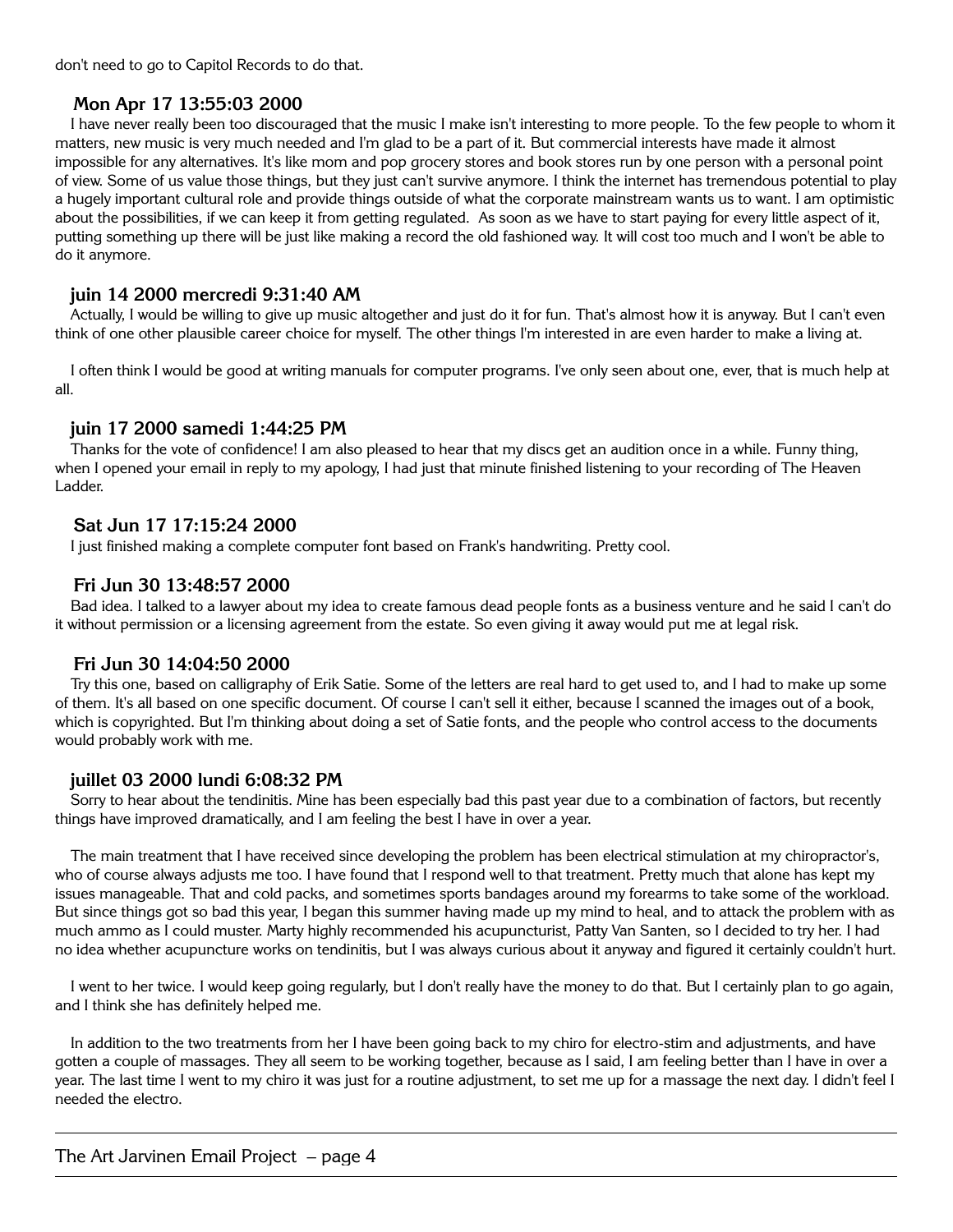don't need to go to Capitol Records to do that.

# **Mon Apr 17 13:55:03 2000**

I have never really been too discouraged that the music I make isn't interesting to more people. To the few people to whom it matters, new music is very much needed and I'm glad to be a part of it. But commercial interests have made it almost impossible for any alternatives. It's like mom and pop grocery stores and book stores run by one person with a personal point of view. Some of us value those things, but they just can't survive anymore. I think the internet has tremendous potential to play a hugely important cultural role and provide things outside of what the corporate mainstream wants us to want. I am optimistic about the possibilities, if we can keep it from getting regulated. As soon as we have to start paying for every little aspect of it, putting something up there will be just like making a record the old fashioned way. It will cost too much and I won't be able to do it anymore.

# **juin 14 2000 mercredi 9:31:40 AM**

Actually, I would be willing to give up music altogether and just do it for fun. That's almost how it is anyway. But I can't even think of one other plausible career choice for myself. The other things I'm interested in are even harder to make a living at.

I often think I would be good at writing manuals for computer programs. I've only seen about one, ever, that is much help at all.

# **juin 17 2000 samedi 1:44:25 PM**

Thanks for the vote of confidence! I am also pleased to hear that my discs get an audition once in a while. Funny thing, when I opened your email in reply to my apology, I had just that minute finished listening to your recording of The Heaven Ladder.

# **Sat Jun 17 17:15:24 2000**

I just finished making a complete computer font based on Frank's handwriting. Pretty cool.

# **Fri Jun 30 13:48:57 2000**

Bad idea. I talked to a lawyer about my idea to create famous dead people fonts as a business venture and he said I can't do it without permission or a licensing agreement from the estate. So even giving it away would put me at legal risk.

# **Fri Jun 30 14:04:50 2000**

Try this one, based on calligraphy of Erik Satie. Some of the letters are real hard to get used to, and I had to make up some of them. It's all based on one specific document. Of course I can't sell it either, because I scanned the images out of a book, which is copyrighted. But I'm thinking about doing a set of Satie fonts, and the people who control access to the documents would probably work with me.

# **juillet 03 2000 lundi 6:08:32 PM**

Sorry to hear about the tendinitis. Mine has been especially bad this past year due to a combination of factors, but recently things have improved dramatically, and I am feeling the best I have in over a year.

The main treatment that I have received since developing the problem has been electrical stimulation at my chiropractor's, who of course always adjusts me too. I have found that I respond well to that treatment. Pretty much that alone has kept my issues manageable. That and cold packs, and sometimes sports bandages around my forearms to take some of the workload. But since things got so bad this year, I began this summer having made up my mind to heal, and to attack the problem with as much ammo as I could muster. Marty highly recommended his acupuncturist, Patty Van Santen, so I decided to try her. I had no idea whether acupuncture works on tendinitis, but I was always curious about it anyway and figured it certainly couldn't hurt.

I went to her twice. I would keep going regularly, but I don't really have the money to do that. But I certainly plan to go again, and I think she has definitely helped me.

In addition to the two treatments from her I have been going back to my chiro for electro-stim and adjustments, and have gotten a couple of massages. They all seem to be working together, because as I said, I am feeling better than I have in over a year. The last time I went to my chiro it was just for a routine adjustment, to set me up for a massage the next day. I didn't feel I needed the electro.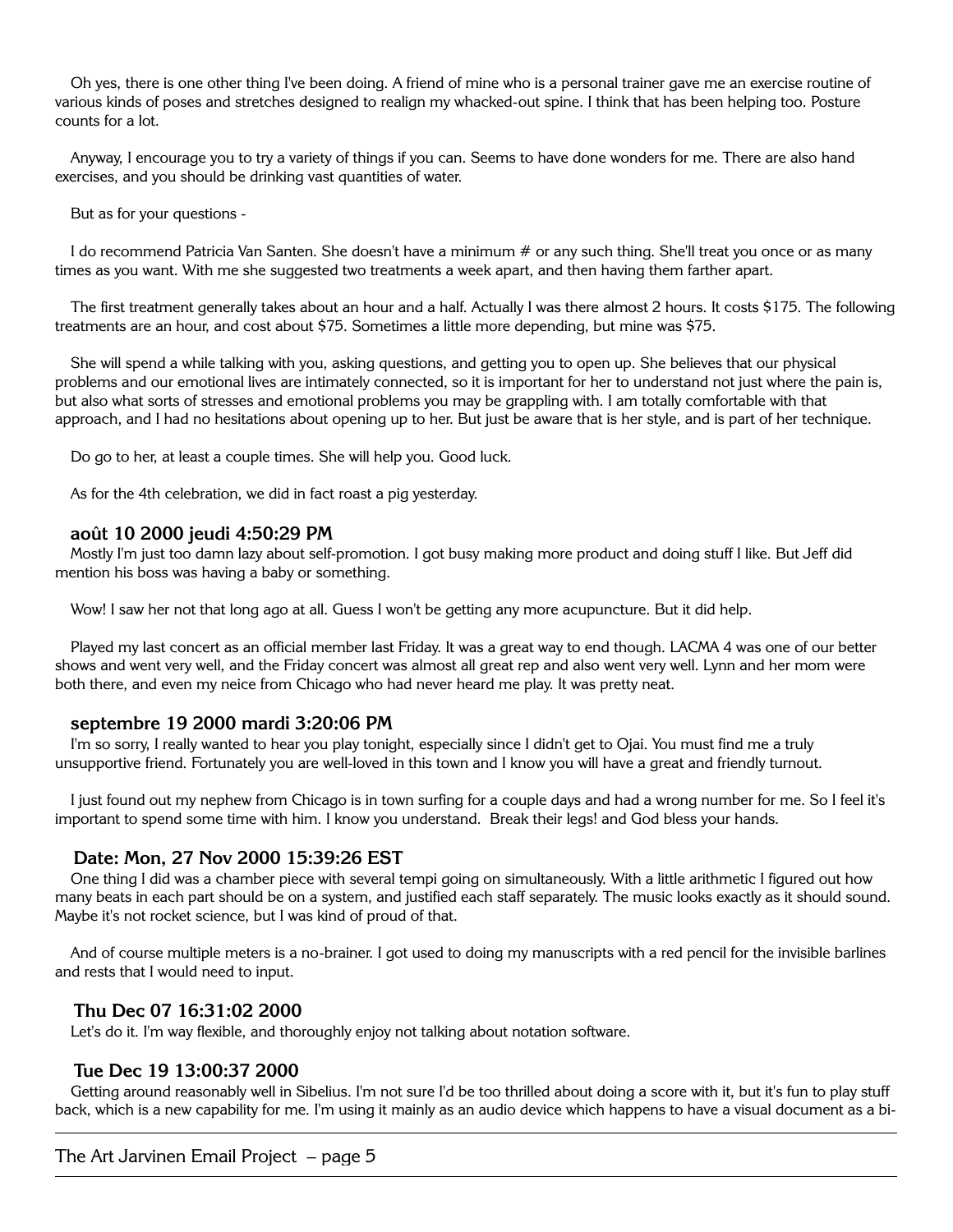Oh yes, there is one other thing I've been doing. A friend of mine who is a personal trainer gave me an exercise routine of various kinds of poses and stretches designed to realign my whacked-out spine. I think that has been helping too. Posture counts for a lot.

Anyway, I encourage you to try a variety of things if you can. Seems to have done wonders for me. There are also hand exercises, and you should be drinking vast quantities of water.

But as for your questions -

I do recommend Patricia Van Santen. She doesn't have a minimum # or any such thing. She'll treat you once or as many times as you want. With me she suggested two treatments a week apart, and then having them farther apart.

The first treatment generally takes about an hour and a half. Actually I was there almost 2 hours. It costs \$175. The following treatments are an hour, and cost about \$75. Sometimes a little more depending, but mine was \$75.

She will spend a while talking with you, asking questions, and getting you to open up. She believes that our physical problems and our emotional lives are intimately connected, so it is important for her to understand not just where the pain is, but also what sorts of stresses and emotional problems you may be grappling with. I am totally comfortable with that approach, and I had no hesitations about opening up to her. But just be aware that is her style, and is part of her technique.

Do go to her, at least a couple times. She will help you. Good luck.

As for the 4th celebration, we did in fact roast a pig yesterday.

#### **août 10 2000 jeudi 4:50:29 PM**

Mostly I'm just too damn lazy about self-promotion. I got busy making more product and doing stuff I like. But Jeff did mention his boss was having a baby or something.

Wow! I saw her not that long ago at all. Guess I won't be getting any more acupuncture. But it did help.

Played my last concert as an official member last Friday. It was a great way to end though. LACMA 4 was one of our better shows and went very well, and the Friday concert was almost all great rep and also went very well. Lynn and her mom were both there, and even my neice from Chicago who had never heard me play. It was pretty neat.

#### **septembre 19 2000 mardi 3:20:06 PM**

I'm so sorry, I really wanted to hear you play tonight, especially since I didn't get to Ojai. You must find me a truly unsupportive friend. Fortunately you are well-loved in this town and I know you will have a great and friendly turnout.

I just found out my nephew from Chicago is in town surfing for a couple days and had a wrong number for me. So I feel it's important to spend some time with him. I know you understand. Break their legs! and God bless your hands.

#### **Date: Mon, 27 Nov 2000 15:39:26 EST**

One thing I did was a chamber piece with several tempi going on simultaneously. With a little arithmetic I figured out how many beats in each part should be on a system, and justified each staff separately. The music looks exactly as it should sound. Maybe it's not rocket science, but I was kind of proud of that.

And of course multiple meters is a no-brainer. I got used to doing my manuscripts with a red pencil for the invisible barlines and rests that I would need to input.

#### **Thu Dec 07 16:31:02 2000**

Let's do it. I'm way flexible, and thoroughly enjoy not talking about notation software.

#### **Tue Dec 19 13:00:37 2000**

Getting around reasonably well in Sibelius. I'm not sure I'd be too thrilled about doing a score with it, but it's fun to play stuff back, which is a new capability for me. I'm using it mainly as an audio device which happens to have a visual document as a bi-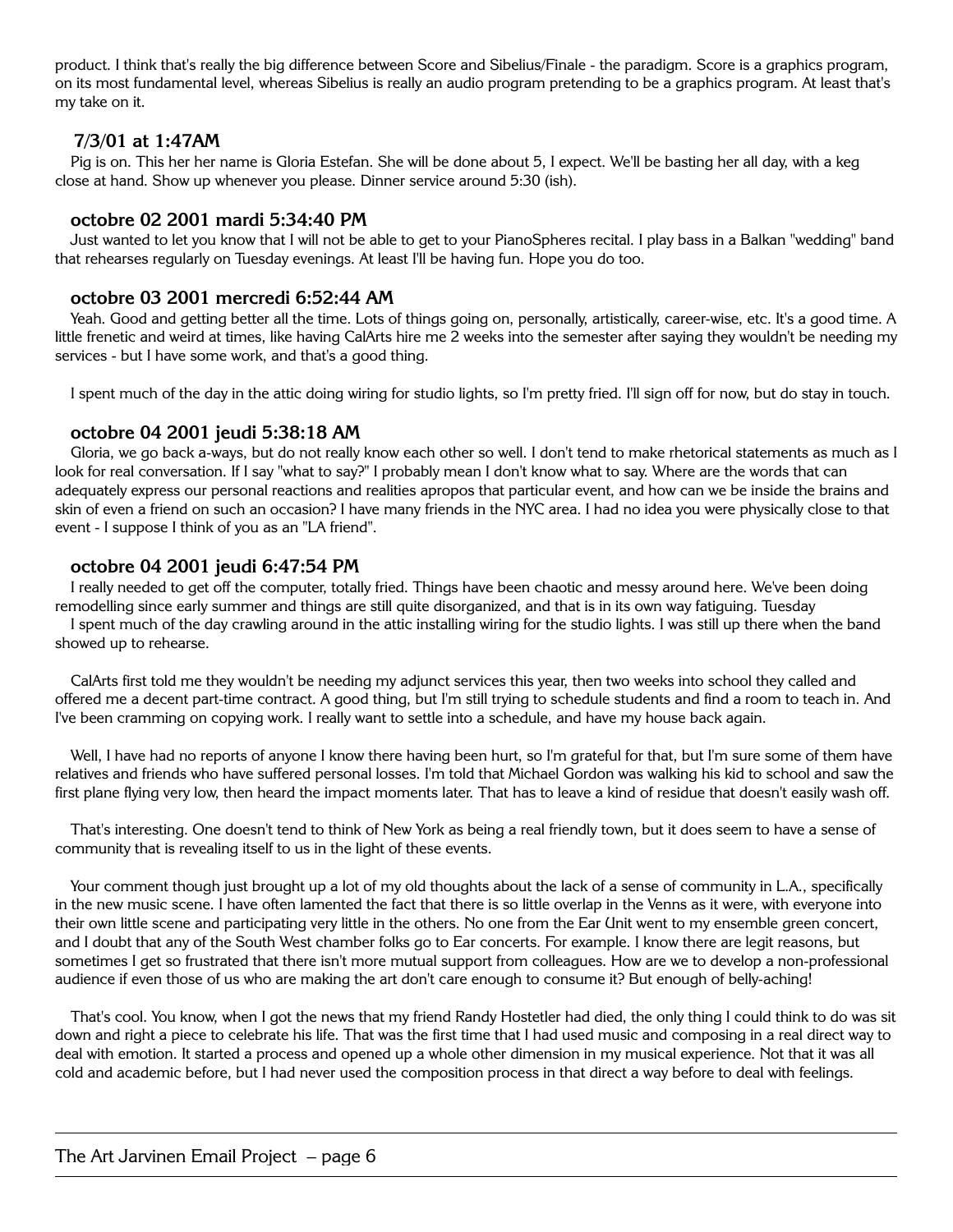product. I think that's really the big difference between Score and Sibelius/Finale - the paradigm. Score is a graphics program, on its most fundamental level, whereas Sibelius is really an audio program pretending to be a graphics program. At least that's my take on it.

## **7/3/01 at 1:47AM**

Pig is on. This her her name is Gloria Estefan. She will be done about 5, I expect. We'll be basting her all day, with a keg close at hand. Show up whenever you please. Dinner service around 5:30 (ish).

#### **octobre 02 2001 mardi 5:34:40 PM**

Just wanted to let you know that I will not be able to get to your PianoSpheres recital. I play bass in a Balkan "wedding" band that rehearses regularly on Tuesday evenings. At least I'll be having fun. Hope you do too.

## **octobre 03 2001 mercredi 6:52:44 AM**

Yeah. Good and getting better all the time. Lots of things going on, personally, artistically, career-wise, etc. It's a good time. A little frenetic and weird at times, like having CalArts hire me 2 weeks into the semester after saying they wouldn't be needing my services - but I have some work, and that's a good thing.

I spent much of the day in the attic doing wiring for studio lights, so I'm pretty fried. I'll sign off for now, but do stay in touch.

#### **octobre 04 2001 jeudi 5:38:18 AM**

Gloria, we go back a-ways, but do not really know each other so well. I don't tend to make rhetorical statements as much as I look for real conversation. If I say "what to say?" I probably mean I don't know what to say. Where are the words that can adequately express our personal reactions and realities apropos that particular event, and how can we be inside the brains and skin of even a friend on such an occasion? I have many friends in the NYC area. I had no idea you were physically close to that event - I suppose I think of you as an "LA friend".

#### **octobre 04 2001 jeudi 6:47:54 PM**

I really needed to get off the computer, totally fried. Things have been chaotic and messy around here. We've been doing remodelling since early summer and things are still quite disorganized, and that is in its own way fatiguing. Tuesday I spent much of the day crawling around in the attic installing wiring for the studio lights. I was still up there when the band

showed up to rehearse.

CalArts first told me they wouldn't be needing my adjunct services this year, then two weeks into school they called and offered me a decent part-time contract. A good thing, but I'm still trying to schedule students and find a room to teach in. And I've been cramming on copying work. I really want to settle into a schedule, and have my house back again.

Well, I have had no reports of anyone I know there having been hurt, so I'm grateful for that, but I'm sure some of them have relatives and friends who have suffered personal losses. I'm told that Michael Gordon was walking his kid to school and saw the first plane flying very low, then heard the impact moments later. That has to leave a kind of residue that doesn't easily wash off.

That's interesting. One doesn't tend to think of New York as being a real friendly town, but it does seem to have a sense of community that is revealing itself to us in the light of these events.

Your comment though just brought up a lot of my old thoughts about the lack of a sense of community in L.A., specifically in the new music scene. I have often lamented the fact that there is so little overlap in the Venns as it were, with everyone into their own little scene and participating very little in the others. No one from the Ear Unit went to my ensemble green concert, and I doubt that any of the South West chamber folks go to Ear concerts. For example. I know there are legit reasons, but sometimes I get so frustrated that there isn't more mutual support from colleagues. How are we to develop a non-professional audience if even those of us who are making the art don't care enough to consume it? But enough of belly-aching!

That's cool. You know, when I got the news that my friend Randy Hostetler had died, the only thing I could think to do was sit down and right a piece to celebrate his life. That was the first time that I had used music and composing in a real direct way to deal with emotion. It started a process and opened up a whole other dimension in my musical experience. Not that it was all cold and academic before, but I had never used the composition process in that direct a way before to deal with feelings.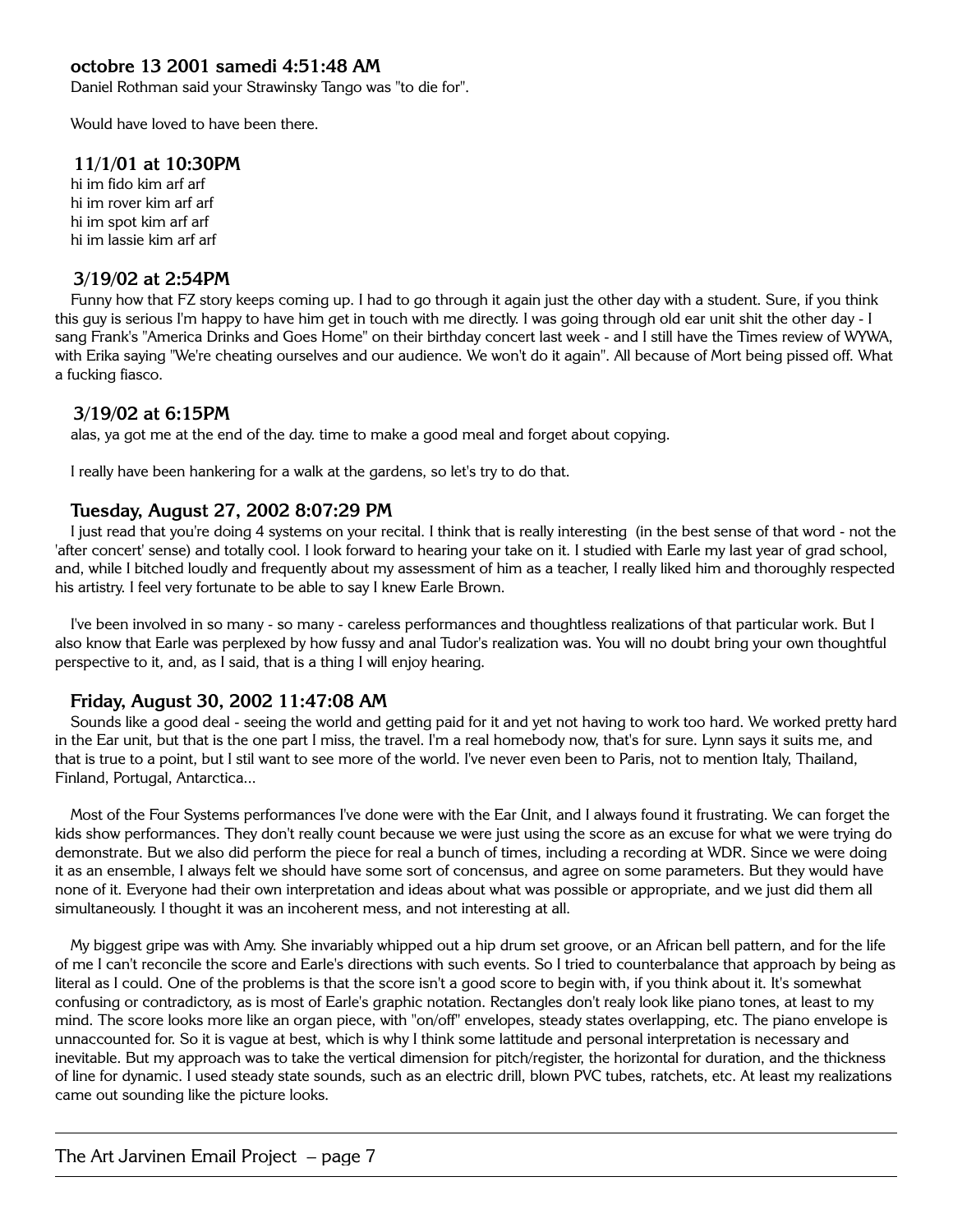# **octobre 13 2001 samedi 4:51:48 AM**

Daniel Rothman said your Strawinsky Tango was "to die for".

Would have loved to have been there.

## **11/1/01 at 10:30PM**

hi im fido kim arf arf hi im rover kim arf arf hi im spot kim arf arf hi im lassie kim arf arf

#### **3/19/02 at 2:54PM**

Funny how that FZ story keeps coming up. I had to go through it again just the other day with a student. Sure, if you think this guy is serious I'm happy to have him get in touch with me directly. I was going through old ear unit shit the other day - I sang Frank's "America Drinks and Goes Home" on their birthday concert last week - and I still have the Times review of WYWA, with Erika saying "We're cheating ourselves and our audience. We won't do it again". All because of Mort being pissed off. What a fucking fiasco.

#### **3/19/02 at 6:15PM**

alas, ya got me at the end of the day. time to make a good meal and forget about copying.

I really have been hankering for a walk at the gardens, so let's try to do that.

#### **Tuesday, August 27, 2002 8:07:29 PM**

I just read that you're doing 4 systems on your recital. I think that is really interesting (in the best sense of that word - not the 'after concert' sense) and totally cool. I look forward to hearing your take on it. I studied with Earle my last year of grad school, and, while I bitched loudly and frequently about my assessment of him as a teacher, I really liked him and thoroughly respected his artistry. I feel very fortunate to be able to say I knew Earle Brown.

I've been involved in so many - so many - careless performances and thoughtless realizations of that particular work. But I also know that Earle was perplexed by how fussy and anal Tudor's realization was. You will no doubt bring your own thoughtful perspective to it, and, as I said, that is a thing I will enjoy hearing.

#### **Friday, August 30, 2002 11:47:08 AM**

Sounds like a good deal - seeing the world and getting paid for it and yet not having to work too hard. We worked pretty hard in the Ear unit, but that is the one part I miss, the travel. I'm a real homebody now, that's for sure. Lynn says it suits me, and that is true to a point, but I stil want to see more of the world. I've never even been to Paris, not to mention Italy, Thailand, Finland, Portugal, Antarctica...

Most of the Four Systems performances I've done were with the Ear Unit, and I always found it frustrating. We can forget the kids show performances. They don't really count because we were just using the score as an excuse for what we were trying do demonstrate. But we also did perform the piece for real a bunch of times, including a recording at WDR. Since we were doing it as an ensemble, I always felt we should have some sort of concensus, and agree on some parameters. But they would have none of it. Everyone had their own interpretation and ideas about what was possible or appropriate, and we just did them all simultaneously. I thought it was an incoherent mess, and not interesting at all.

My biggest gripe was with Amy. She invariably whipped out a hip drum set groove, or an African bell pattern, and for the life of me I can't reconcile the score and Earle's directions with such events. So I tried to counterbalance that approach by being as literal as I could. One of the problems is that the score isn't a good score to begin with, if you think about it. It's somewhat confusing or contradictory, as is most of Earle's graphic notation. Rectangles don't realy look like piano tones, at least to my mind. The score looks more like an organ piece, with "on/off" envelopes, steady states overlapping, etc. The piano envelope is unnaccounted for. So it is vague at best, which is why I think some lattitude and personal interpretation is necessary and inevitable. But my approach was to take the vertical dimension for pitch/register, the horizontal for duration, and the thickness of line for dynamic. I used steady state sounds, such as an electric drill, blown PVC tubes, ratchets, etc. At least my realizations came out sounding like the picture looks.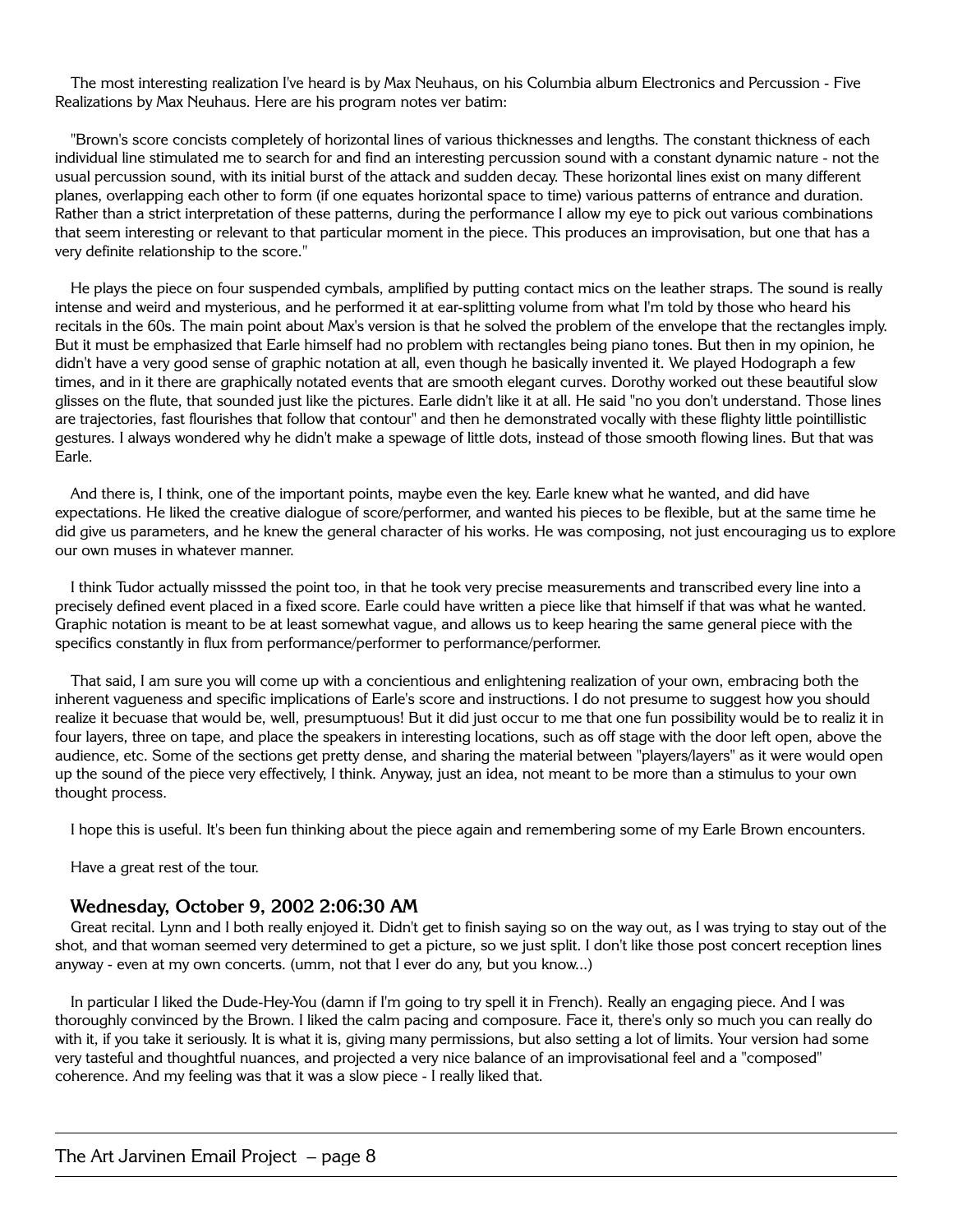The most interesting realization I've heard is by Max Neuhaus, on his Columbia album Electronics and Percussion - Five Realizations by Max Neuhaus. Here are his program notes ver batim:

"Brown's score concists completely of horizontal lines of various thicknesses and lengths. The constant thickness of each individual line stimulated me to search for and find an interesting percussion sound with a constant dynamic nature - not the usual percussion sound, with its initial burst of the attack and sudden decay. These horizontal lines exist on many different planes, overlapping each other to form (if one equates horizontal space to time) various patterns of entrance and duration. Rather than a strict interpretation of these patterns, during the performance I allow my eye to pick out various combinations that seem interesting or relevant to that particular moment in the piece. This produces an improvisation, but one that has a very definite relationship to the score."

He plays the piece on four suspended cymbals, amplified by putting contact mics on the leather straps. The sound is really intense and weird and mysterious, and he performed it at ear-splitting volume from what I'm told by those who heard his recitals in the 60s. The main point about Max's version is that he solved the problem of the envelope that the rectangles imply. But it must be emphasized that Earle himself had no problem with rectangles being piano tones. But then in my opinion, he didn't have a very good sense of graphic notation at all, even though he basically invented it. We played Hodograph a few times, and in it there are graphically notated events that are smooth elegant curves. Dorothy worked out these beautiful slow glisses on the flute, that sounded just like the pictures. Earle didn't like it at all. He said "no you don't understand. Those lines are trajectories, fast flourishes that follow that contour" and then he demonstrated vocally with these flighty little pointillistic gestures. I always wondered why he didn't make a spewage of little dots, instead of those smooth flowing lines. But that was Earle.

And there is, I think, one of the important points, maybe even the key. Earle knew what he wanted, and did have expectations. He liked the creative dialogue of score/performer, and wanted his pieces to be flexible, but at the same time he did give us parameters, and he knew the general character of his works. He was composing, not just encouraging us to explore our own muses in whatever manner.

I think Tudor actually misssed the point too, in that he took very precise measurements and transcribed every line into a precisely defined event placed in a fixed score. Earle could have written a piece like that himself if that was what he wanted. Graphic notation is meant to be at least somewhat vague, and allows us to keep hearing the same general piece with the specifics constantly in flux from performance/performer to performance/performer.

That said, I am sure you will come up with a concientious and enlightening realization of your own, embracing both the inherent vagueness and specific implications of Earle's score and instructions. I do not presume to suggest how you should realize it becuase that would be, well, presumptuous! But it did just occur to me that one fun possibility would be to realiz it in four layers, three on tape, and place the speakers in interesting locations, such as off stage with the door left open, above the audience, etc. Some of the sections get pretty dense, and sharing the material between "players/layers" as it were would open up the sound of the piece very effectively, I think. Anyway, just an idea, not meant to be more than a stimulus to your own thought process.

I hope this is useful. It's been fun thinking about the piece again and remembering some of my Earle Brown encounters.

Have a great rest of the tour.

#### **Wednesday, October 9, 2002 2:06:30 AM**

Great recital. Lynn and I both really enjoyed it. Didn't get to finish saying so on the way out, as I was trying to stay out of the shot, and that woman seemed very determined to get a picture, so we just split. I don't like those post concert reception lines anyway - even at my own concerts. (umm, not that I ever do any, but you know...)

In particular I liked the Dude-Hey-You (damn if I'm going to try spell it in French). Really an engaging piece. And I was thoroughly convinced by the Brown. I liked the calm pacing and composure. Face it, there's only so much you can really do with it, if you take it seriously. It is what it is, giving many permissions, but also setting a lot of limits. Your version had some very tasteful and thoughtful nuances, and projected a very nice balance of an improvisational feel and a "composed" coherence. And my feeling was that it was a slow piece - I really liked that.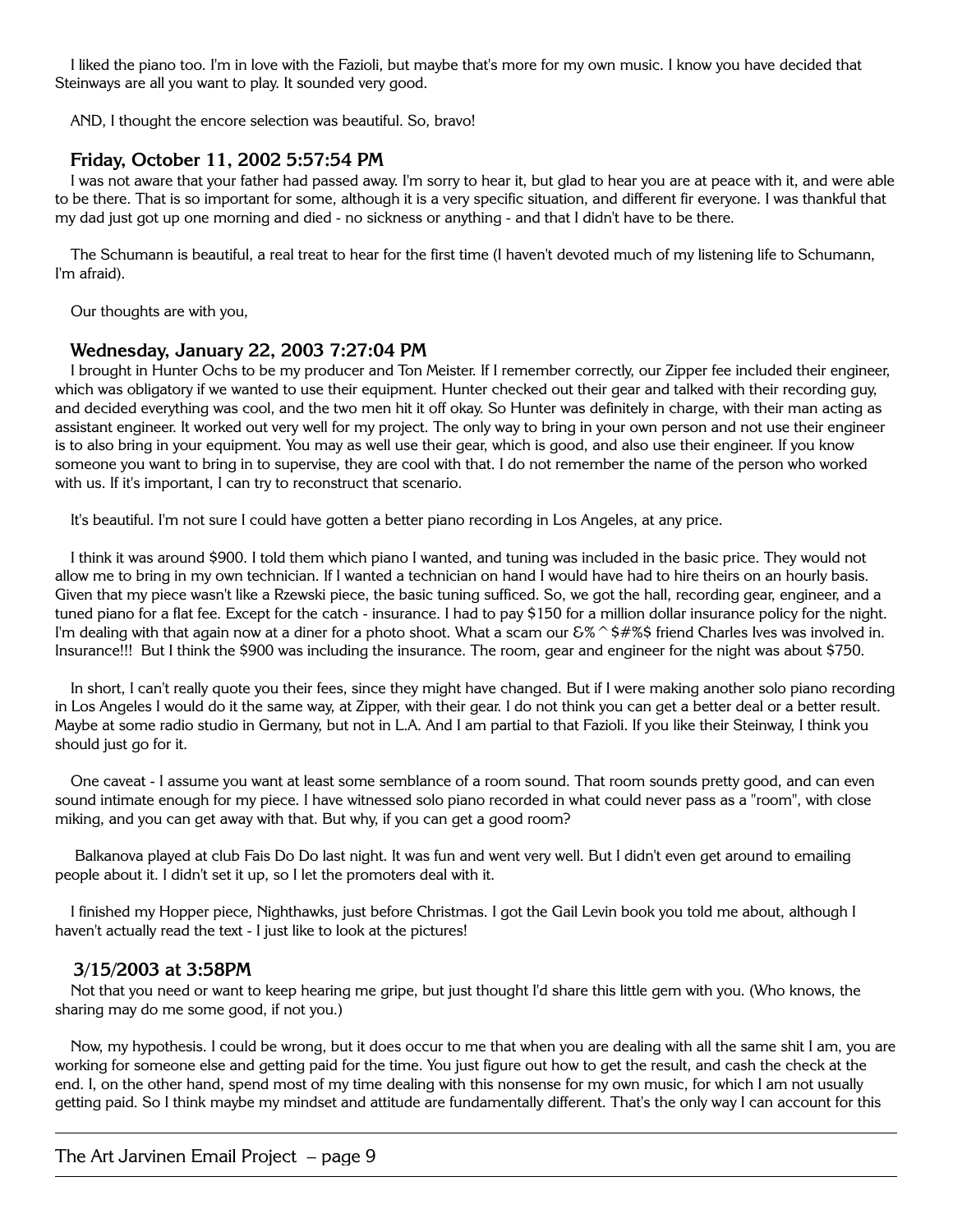I liked the piano too. I'm in love with the Fazioli, but maybe that's more for my own music. I know you have decided that Steinways are all you want to play. It sounded very good.

AND, I thought the encore selection was beautiful. So, bravo!

# **Friday, October 11, 2002 5:57:54 PM**

I was not aware that your father had passed away. I'm sorry to hear it, but glad to hear you are at peace with it, and were able to be there. That is so important for some, although it is a very specific situation, and different fir everyone. I was thankful that my dad just got up one morning and died - no sickness or anything - and that I didn't have to be there.

The Schumann is beautiful, a real treat to hear for the first time (I haven't devoted much of my listening life to Schumann, I'm afraid).

Our thoughts are with you,

#### **Wednesday, January 22, 2003 7:27:04 PM**

I brought in Hunter Ochs to be my producer and Ton Meister. If I remember correctly, our Zipper fee included their engineer, which was obligatory if we wanted to use their equipment. Hunter checked out their gear and talked with their recording guy, and decided everything was cool, and the two men hit it off okay. So Hunter was definitely in charge, with their man acting as assistant engineer. It worked out very well for my project. The only way to bring in your own person and not use their engineer is to also bring in your equipment. You may as well use their gear, which is good, and also use their engineer. If you know someone you want to bring in to supervise, they are cool with that. I do not remember the name of the person who worked with us. If it's important, I can try to reconstruct that scenario.

It's beautiful. I'm not sure I could have gotten a better piano recording in Los Angeles, at any price.

I think it was around \$900. I told them which piano I wanted, and tuning was included in the basic price. They would not allow me to bring in my own technician. If I wanted a technician on hand I would have had to hire theirs on an hourly basis. Given that my piece wasn't like a Rzewski piece, the basic tuning sufficed. So, we got the hall, recording gear, engineer, and a tuned piano for a flat fee. Except for the catch - insurance. I had to pay \$150 for a million dollar insurance policy for the night. I'm dealing with that again now at a diner for a photo shoot. What a scam our  $\mathcal{S}\%\circ\neq\mathcal{S}\$  friend Charles Ives was involved in. Insurance!!! But I think the \$900 was including the insurance. The room, gear and engineer for the night was about \$750.

In short, I can't really quote you their fees, since they might have changed. But if I were making another solo piano recording in Los Angeles I would do it the same way, at Zipper, with their gear. I do not think you can get a better deal or a better result. Maybe at some radio studio in Germany, but not in L.A. And I am partial to that Fazioli. If you like their Steinway, I think you should just go for it.

One caveat - I assume you want at least some semblance of a room sound. That room sounds pretty good, and can even sound intimate enough for my piece. I have witnessed solo piano recorded in what could never pass as a "room", with close miking, and you can get away with that. But why, if you can get a good room?

 Balkanova played at club Fais Do Do last night. It was fun and went very well. But I didn't even get around to emailing people about it. I didn't set it up, so I let the promoters deal with it.

I finished my Hopper piece, Nighthawks, just before Christmas. I got the Gail Levin book you told me about, although I haven't actually read the text - I just like to look at the pictures!

#### **3/15/2003 at 3:58PM**

Not that you need or want to keep hearing me gripe, but just thought I'd share this little gem with you. (Who knows, the sharing may do me some good, if not you.)

Now, my hypothesis. I could be wrong, but it does occur to me that when you are dealing with all the same shit I am, you are working for someone else and getting paid for the time. You just figure out how to get the result, and cash the check at the end. I, on the other hand, spend most of my time dealing with this nonsense for my own music, for which I am not usually getting paid. So I think maybe my mindset and attitude are fundamentally different. That's the only way I can account for this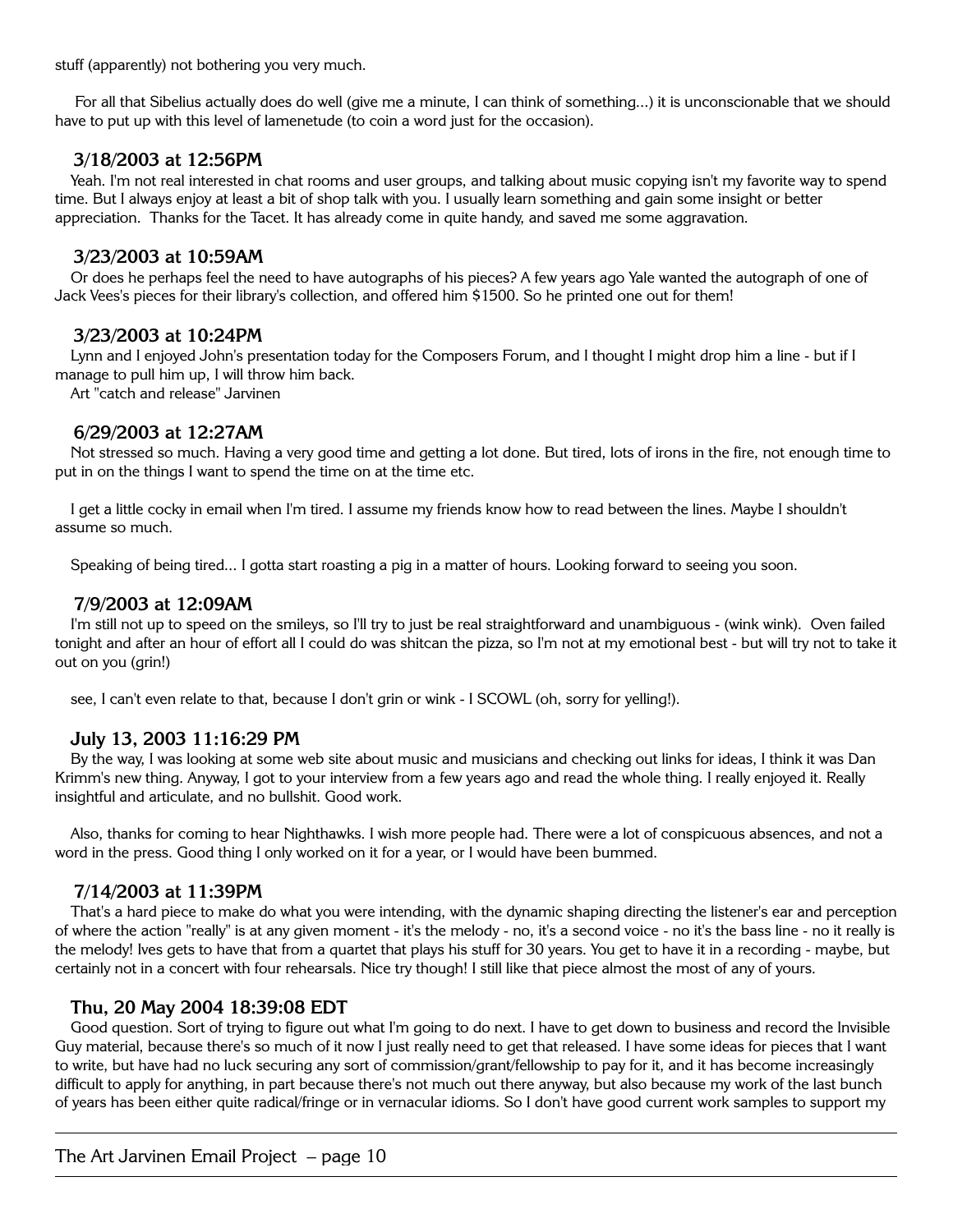stuff (apparently) not bothering you very much.

 For all that Sibelius actually does do well (give me a minute, I can think of something...) it is unconscionable that we should have to put up with this level of lamenetude (to coin a word just for the occasion).

## **3/18/2003 at 12:56PM**

Yeah. I'm not real interested in chat rooms and user groups, and talking about music copying isn't my favorite way to spend time. But I always enjoy at least a bit of shop talk with you. I usually learn something and gain some insight or better appreciation. Thanks for the Tacet. It has already come in quite handy, and saved me some aggravation.

## **3/23/2003 at 10:59AM**

Or does he perhaps feel the need to have autographs of his pieces? A few years ago Yale wanted the autograph of one of Jack Vees's pieces for their library's collection, and offered him \$1500. So he printed one out for them!

## **3/23/2003 at 10:24PM**

Lynn and I enjoyed John's presentation today for the Composers Forum, and I thought I might drop him a line - but if I manage to pull him up, I will throw him back.

Art "catch and release" Jarvinen

# **6/29/2003 at 12:27AM**

Not stressed so much. Having a very good time and getting a lot done. But tired, lots of irons in the fire, not enough time to put in on the things I want to spend the time on at the time etc.

I get a little cocky in email when I'm tired. I assume my friends know how to read between the lines. Maybe I shouldn't assume so much.

Speaking of being tired... I gotta start roasting a pig in a matter of hours. Looking forward to seeing you soon.

## **7/9/2003 at 12:09AM**

I'm still not up to speed on the smileys, so I'll try to just be real straightforward and unambiguous - (wink wink). Oven failed tonight and after an hour of effort all I could do was shitcan the pizza, so I'm not at my emotional best - but will try not to take it out on you (grin!)

see, I can't even relate to that, because I don't grin or wink - I SCOWL (oh, sorry for yelling!).

#### **July 13, 2003 11:16:29 PM**

By the way, I was looking at some web site about music and musicians and checking out links for ideas, I think it was Dan Krimm's new thing. Anyway, I got to your interview from a few years ago and read the whole thing. I really enjoyed it. Really insightful and articulate, and no bullshit. Good work.

Also, thanks for coming to hear Nighthawks. I wish more people had. There were a lot of conspicuous absences, and not a word in the press. Good thing I only worked on it for a year, or I would have been bummed.

#### **7/14/2003 at 11:39PM**

That's a hard piece to make do what you were intending, with the dynamic shaping directing the listener's ear and perception of where the action "really" is at any given moment - it's the melody - no, it's a second voice - no it's the bass line - no it really is the melody! Ives gets to have that from a quartet that plays his stuff for 30 years. You get to have it in a recording - maybe, but certainly not in a concert with four rehearsals. Nice try though! I still like that piece almost the most of any of yours.

#### **Thu, 20 May 2004 18:39:08 EDT**

Good question. Sort of trying to figure out what I'm going to do next. I have to get down to business and record the Invisible Guy material, because there's so much of it now I just really need to get that released. I have some ideas for pieces that I want to write, but have had no luck securing any sort of commission/grant/fellowship to pay for it, and it has become increasingly difficult to apply for anything, in part because there's not much out there anyway, but also because my work of the last bunch of years has been either quite radical/fringe or in vernacular idioms. So I don't have good current work samples to support my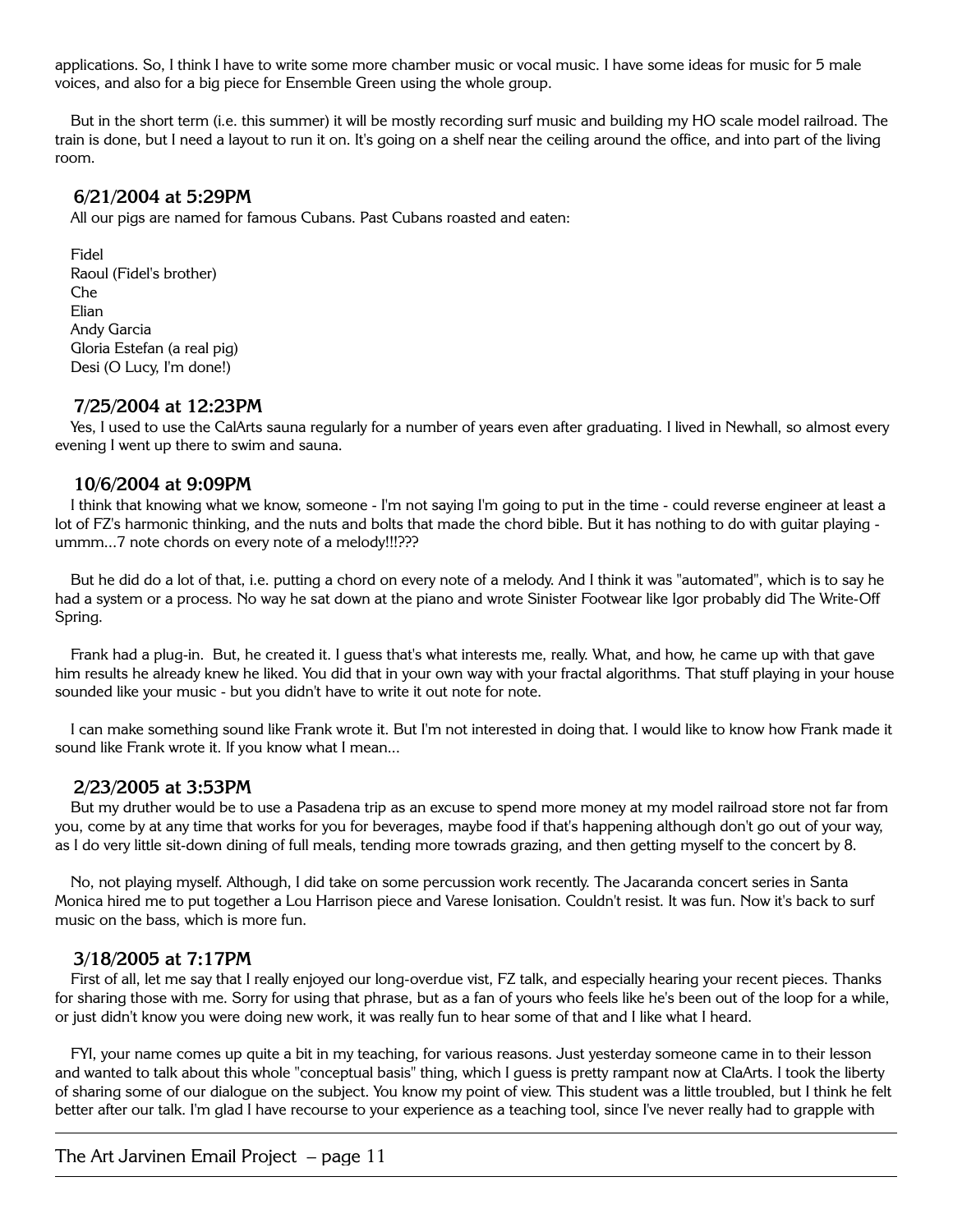applications. So, I think I have to write some more chamber music or vocal music. I have some ideas for music for 5 male voices, and also for a big piece for Ensemble Green using the whole group.

But in the short term (i.e. this summer) it will be mostly recording surf music and building my HO scale model railroad. The train is done, but I need a layout to run it on. It's going on a shelf near the ceiling around the office, and into part of the living room.

#### **6/21/2004 at 5:29PM**

All our pigs are named for famous Cubans. Past Cubans roasted and eaten:

Fidel Raoul (Fidel's brother) Che Elian Andy Garcia Gloria Estefan (a real pig) Desi (O Lucy, I'm done!)

#### **7/25/2004 at 12:23PM**

Yes, I used to use the CalArts sauna regularly for a number of years even after graduating. I lived in Newhall, so almost every evening I went up there to swim and sauna.

#### **10/6/2004 at 9:09PM**

I think that knowing what we know, someone - I'm not saying I'm going to put in the time - could reverse engineer at least a lot of FZ's harmonic thinking, and the nuts and bolts that made the chord bible. But it has nothing to do with guitar playing ummm...7 note chords on every note of a melody!!!???

But he did do a lot of that, i.e. putting a chord on every note of a melody. And I think it was "automated", which is to say he had a system or a process. No way he sat down at the piano and wrote Sinister Footwear like Igor probably did The Write-Off Spring.

Frank had a plug-in. But, he created it. I guess that's what interests me, really. What, and how, he came up with that gave him results he already knew he liked. You did that in your own way with your fractal algorithms. That stuff playing in your house sounded like your music - but you didn't have to write it out note for note.

I can make something sound like Frank wrote it. But I'm not interested in doing that. I would like to know how Frank made it sound like Frank wrote it. If you know what I mean...

#### **2/23/2005 at 3:53PM**

But my druther would be to use a Pasadena trip as an excuse to spend more money at my model railroad store not far from you, come by at any time that works for you for beverages, maybe food if that's happening although don't go out of your way, as I do very little sit-down dining of full meals, tending more towrads grazing, and then getting myself to the concert by 8.

No, not playing myself. Although, I did take on some percussion work recently. The Jacaranda concert series in Santa Monica hired me to put together a Lou Harrison piece and Varese Ionisation. Couldn't resist. It was fun. Now it's back to surf music on the bass, which is more fun.

#### **3/18/2005 at 7:17PM**

First of all, let me say that I really enjoyed our long-overdue vist, FZ talk, and especially hearing your recent pieces. Thanks for sharing those with me. Sorry for using that phrase, but as a fan of yours who feels like he's been out of the loop for a while, or just didn't know you were doing new work, it was really fun to hear some of that and I like what I heard.

FYI, your name comes up quite a bit in my teaching, for various reasons. Just yesterday someone came in to their lesson and wanted to talk about this whole "conceptual basis" thing, which I guess is pretty rampant now at ClaArts. I took the liberty of sharing some of our dialogue on the subject. You know my point of view. This student was a little troubled, but I think he felt better after our talk. I'm glad I have recourse to your experience as a teaching tool, since I've never really had to grapple with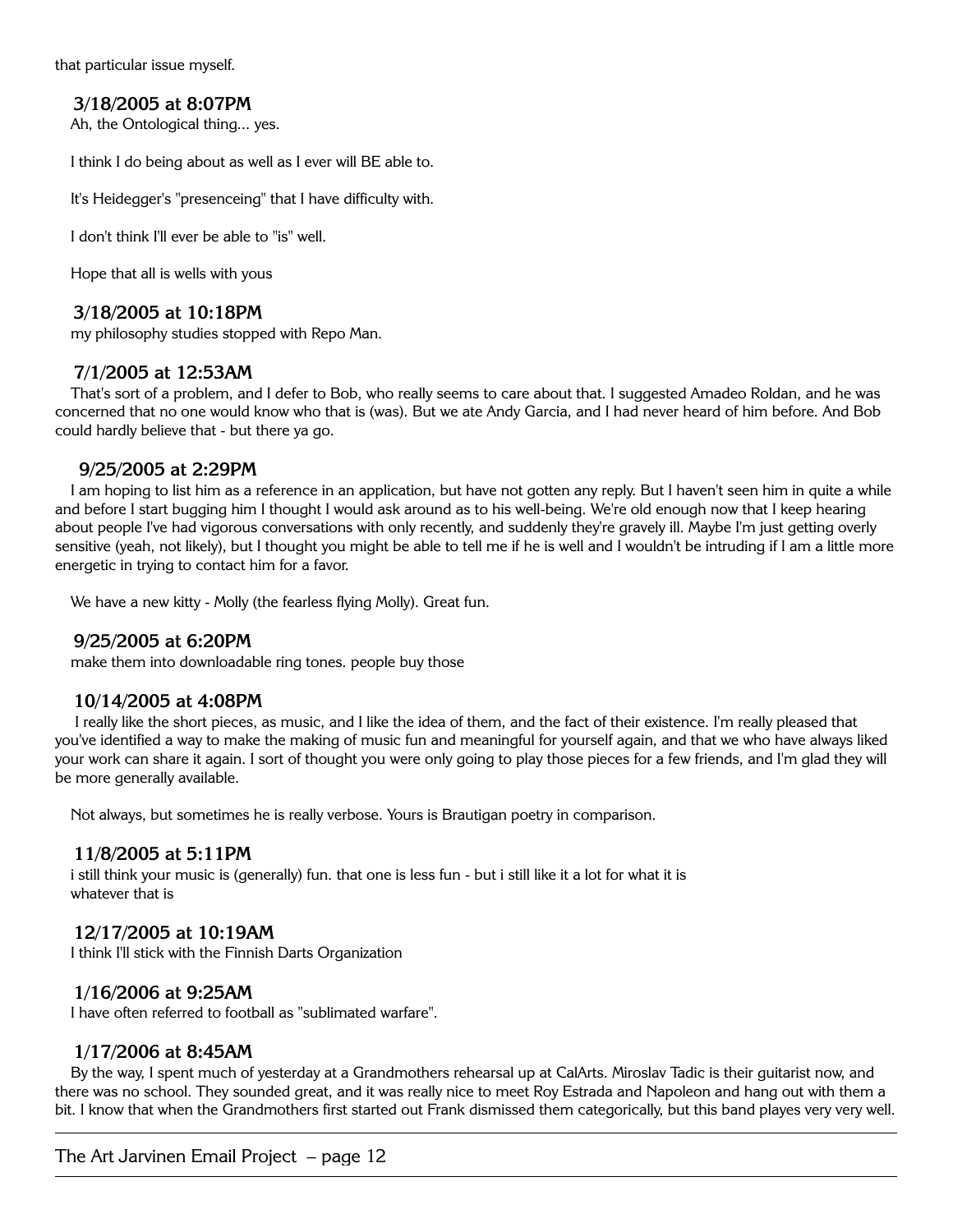that particular issue myself.

# **3/18/2005 at 8:07PM**

Ah, the Ontological thing... yes.

I think I do being about as well as I ever will BE able to.

It's Heidegger's "presenceing" that I have difficulty with.

I don't think I'll ever be able to "is" well.

Hope that all is wells with yous

# **3/18/2005 at 10:18PM**

my philosophy studies stopped with Repo Man.

## **7/1/2005 at 12:53AM**

That's sort of a problem, and I defer to Bob, who really seems to care about that. I suggested Amadeo Roldan, and he was concerned that no one would know who that is (was). But we ate Andy Garcia, and I had never heard of him before. And Bob could hardly believe that - but there ya go.

## **9/25/2005 at 2:29PM**

I am hoping to list him as a reference in an application, but have not gotten any reply. But I haven't seen him in quite a while and before I start bugging him I thought I would ask around as to his well-being. We're old enough now that I keep hearing about people I've had vigorous conversations with only recently, and suddenly they're gravely ill. Maybe I'm just getting overly sensitive (yeah, not likely), but I thought you might be able to tell me if he is well and I wouldn't be intruding if I am a little more energetic in trying to contact him for a favor.

We have a new kitty - Molly (the fearless flying Molly). Great fun.

#### **9/25/2005 at 6:20PM**

make them into downloadable ring tones. people buy those

# **10/14/2005 at 4:08PM**

 I really like the short pieces, as music, and I like the idea of them, and the fact of their existence. I'm really pleased that you've identified a way to make the making of music fun and meaningful for yourself again, and that we who have always liked your work can share it again. I sort of thought you were only going to play those pieces for a few friends, and I'm glad they will be more generally available.

Not always, but sometimes he is really verbose. Yours is Brautigan poetry in comparison.

#### **11/8/2005 at 5:11PM**

i still think your music is (generally) fun. that one is less fun - but i still like it a lot for what it is whatever that is

# **12/17/2005 at 10:19AM**

I think I'll stick with the Finnish Darts Organization

# **1/16/2006 at 9:25AM**

I have often referred to football as "sublimated warfare".

#### **1/17/2006 at 8:45AM**

By the way, I spent much of yesterday at a Grandmothers rehearsal up at CalArts. Miroslav Tadic is their guitarist now, and there was no school. They sounded great, and it was really nice to meet Roy Estrada and Napoleon and hang out with them a bit. I know that when the Grandmothers first started out Frank dismissed them categorically, but this band playes very very well.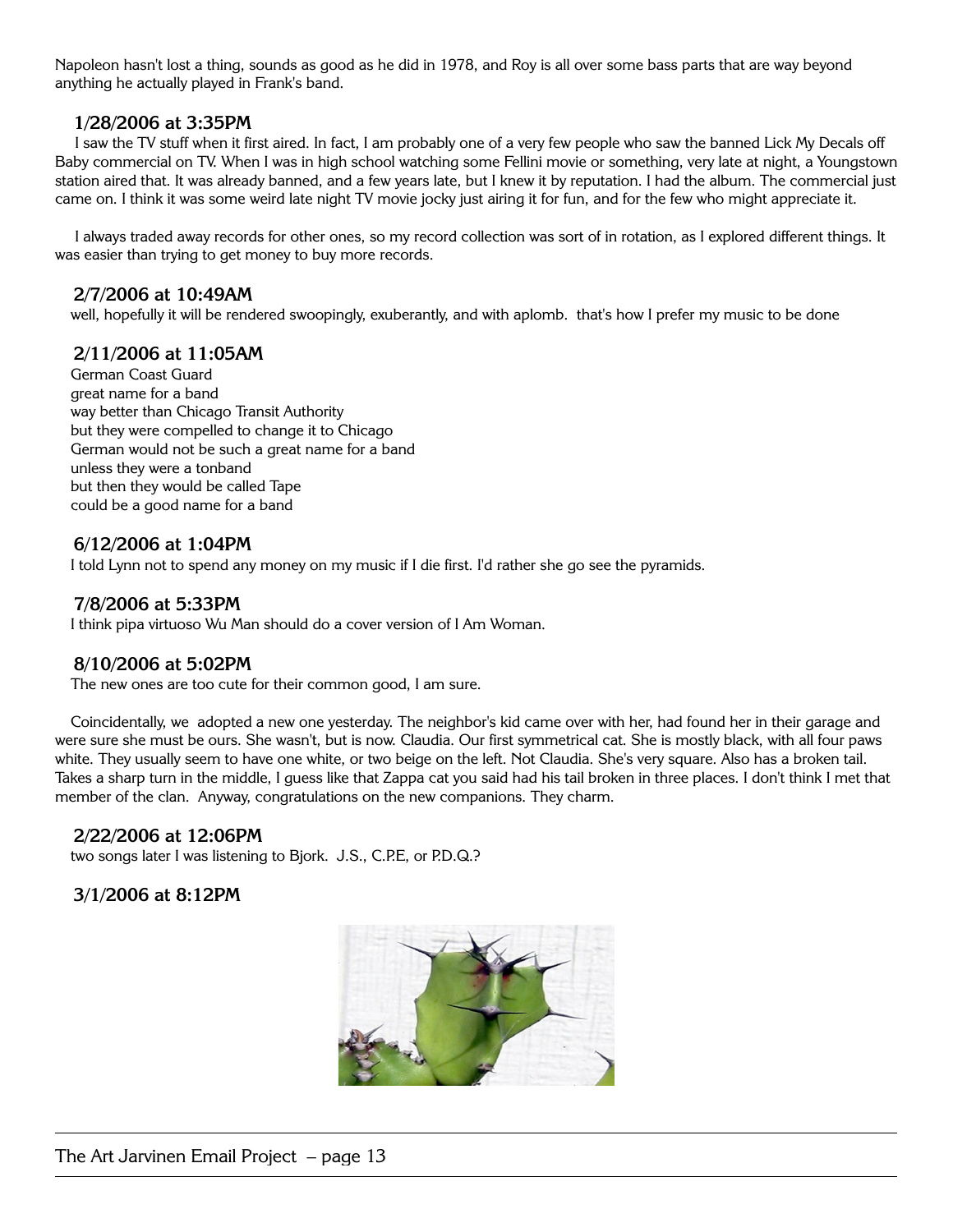Napoleon hasn't lost a thing, sounds as good as he did in 1978, and Roy is all over some bass parts that are way beyond anything he actually played in Frank's band.

## **1/28/2006 at 3:35PM**

 I saw the TV stuff when it first aired. In fact, I am probably one of a very few people who saw the banned Lick My Decals off Baby commercial on TV. When I was in high school watching some Fellini movie or something, very late at night, a Youngstown station aired that. It was already banned, and a few years late, but I knew it by reputation. I had the album. The commercial just came on. I think it was some weird late night TV movie jocky just airing it for fun, and for the few who might appreciate it.

 I always traded away records for other ones, so my record collection was sort of in rotation, as I explored different things. It was easier than trying to get money to buy more records.

#### **2/7/2006 at 10:49AM**

well, hopefully it will be rendered swoopingly, exuberantly, and with aplomb. that's how I prefer my music to be done

# **2/11/2006 at 11:05AM**

German Coast Guard great name for a band way better than Chicago Transit Authority but they were compelled to change it to Chicago German would not be such a great name for a band unless they were a tonband but then they would be called Tape could be a good name for a band

# **6/12/2006 at 1:04PM**

I told Lynn not to spend any money on my music if I die first. I'd rather she go see the pyramids.

## **7/8/2006 at 5:33PM**

I think pipa virtuoso Wu Man should do a cover version of I Am Woman.

# **8/10/2006 at 5:02PM**

The new ones are too cute for their common good, I am sure.

Coincidentally, we adopted a new one yesterday. The neighbor's kid came over with her, had found her in their garage and were sure she must be ours. She wasn't, but is now. Claudia. Our first symmetrical cat. She is mostly black, with all four paws white. They usually seem to have one white, or two beige on the left. Not Claudia. She's very square. Also has a broken tail. Takes a sharp turn in the middle, I guess like that Zappa cat you said had his tail broken in three places. I don't think I met that member of the clan. Anyway, congratulations on the new companions. They charm.

#### **2/22/2006 at 12:06PM**

two songs later I was listening to Bjork. J.S., C.P.E, or P.D.Q.?

# **3/1/2006 at 8:12PM**

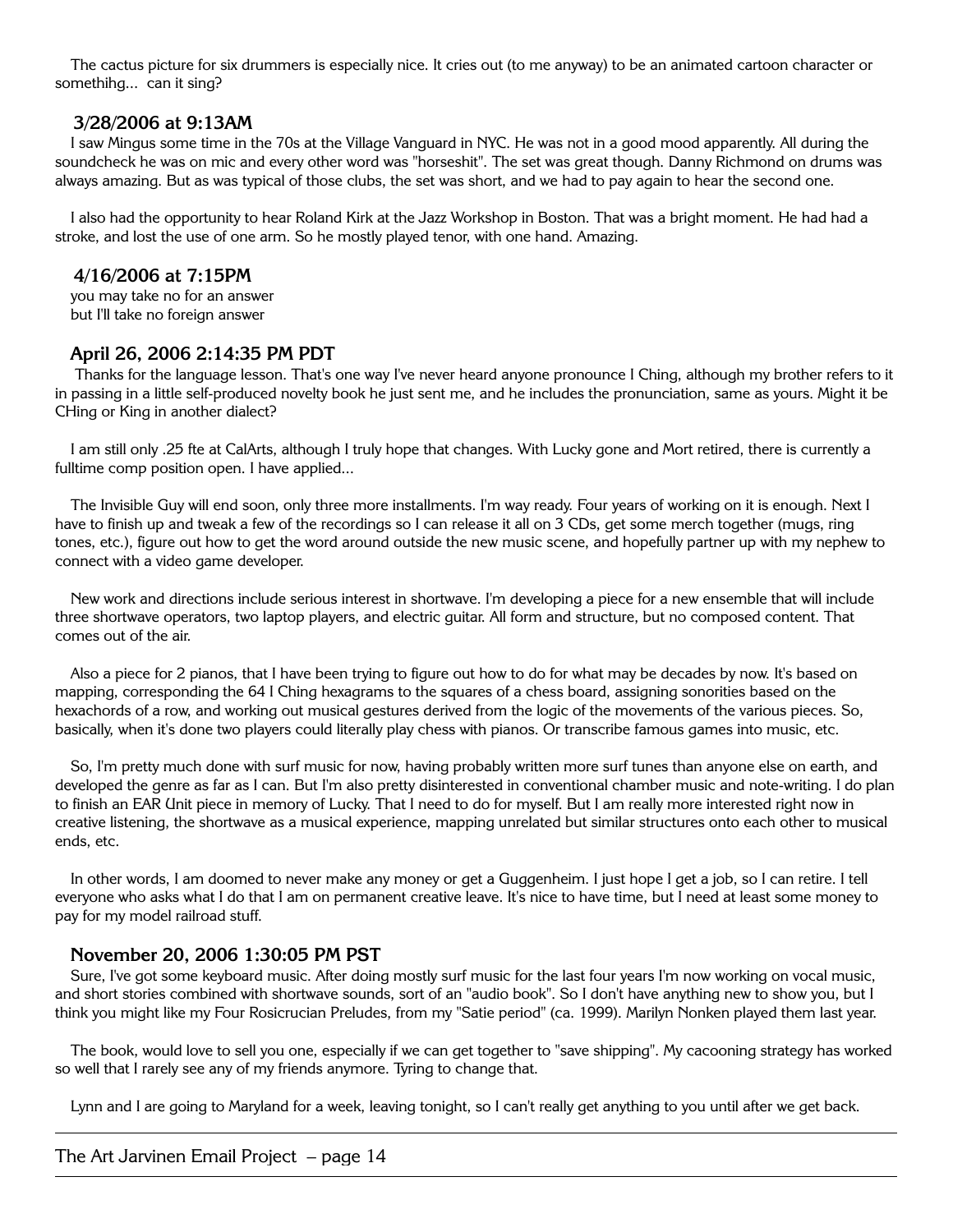The cactus picture for six drummers is especially nice. It cries out (to me anyway) to be an animated cartoon character or somethihg... can it sing?

#### **3/28/2006 at 9:13AM**

I saw Mingus some time in the 70s at the Village Vanguard in NYC. He was not in a good mood apparently. All during the soundcheck he was on mic and every other word was "horseshit". The set was great though. Danny Richmond on drums was always amazing. But as was typical of those clubs, the set was short, and we had to pay again to hear the second one.

I also had the opportunity to hear Roland Kirk at the Jazz Workshop in Boston. That was a bright moment. He had had a stroke, and lost the use of one arm. So he mostly played tenor, with one hand. Amazing.

#### **4/16/2006 at 7:15PM**

you may take no for an answer but I'll take no foreign answer

## **April 26, 2006 2:14:35 PM PDT**

 Thanks for the language lesson. That's one way I've never heard anyone pronounce I Ching, although my brother refers to it in passing in a little self-produced novelty book he just sent me, and he includes the pronunciation, same as yours. Might it be CHing or King in another dialect?

I am still only .25 fte at CalArts, although I truly hope that changes. With Lucky gone and Mort retired, there is currently a fulltime comp position open. I have applied...

The Invisible Guy will end soon, only three more installments. I'm way ready. Four years of working on it is enough. Next I have to finish up and tweak a few of the recordings so I can release it all on 3 CDs, get some merch together (mugs, ring tones, etc.), figure out how to get the word around outside the new music scene, and hopefully partner up with my nephew to connect with a video game developer.

New work and directions include serious interest in shortwave. I'm developing a piece for a new ensemble that will include three shortwave operators, two laptop players, and electric guitar. All form and structure, but no composed content. That comes out of the air.

Also a piece for 2 pianos, that I have been trying to figure out how to do for what may be decades by now. It's based on mapping, corresponding the 64 I Ching hexagrams to the squares of a chess board, assigning sonorities based on the hexachords of a row, and working out musical gestures derived from the logic of the movements of the various pieces. So, basically, when it's done two players could literally play chess with pianos. Or transcribe famous games into music, etc.

So, I'm pretty much done with surf music for now, having probably written more surf tunes than anyone else on earth, and developed the genre as far as I can. But I'm also pretty disinterested in conventional chamber music and note-writing. I do plan to finish an EAR Unit piece in memory of Lucky. That I need to do for myself. But I am really more interested right now in creative listening, the shortwave as a musical experience, mapping unrelated but similar structures onto each other to musical ends, etc.

In other words, I am doomed to never make any money or get a Guggenheim. I just hope I get a job, so I can retire. I tell everyone who asks what I do that I am on permanent creative leave. It's nice to have time, but I need at least some money to pay for my model railroad stuff.

#### **November 20, 2006 1:30:05 PM PST**

Sure, I've got some keyboard music. After doing mostly surf music for the last four years I'm now working on vocal music, and short stories combined with shortwave sounds, sort of an "audio book". So I don't have anything new to show you, but I think you might like my Four Rosicrucian Preludes, from my "Satie period" (ca. 1999). Marilyn Nonken played them last year.

The book, would love to sell you one, especially if we can get together to "save shipping". My cacooning strategy has worked so well that I rarely see any of my friends anymore. Tyring to change that.

Lynn and I are going to Maryland for a week, leaving tonight, so I can't really get anything to you until after we get back.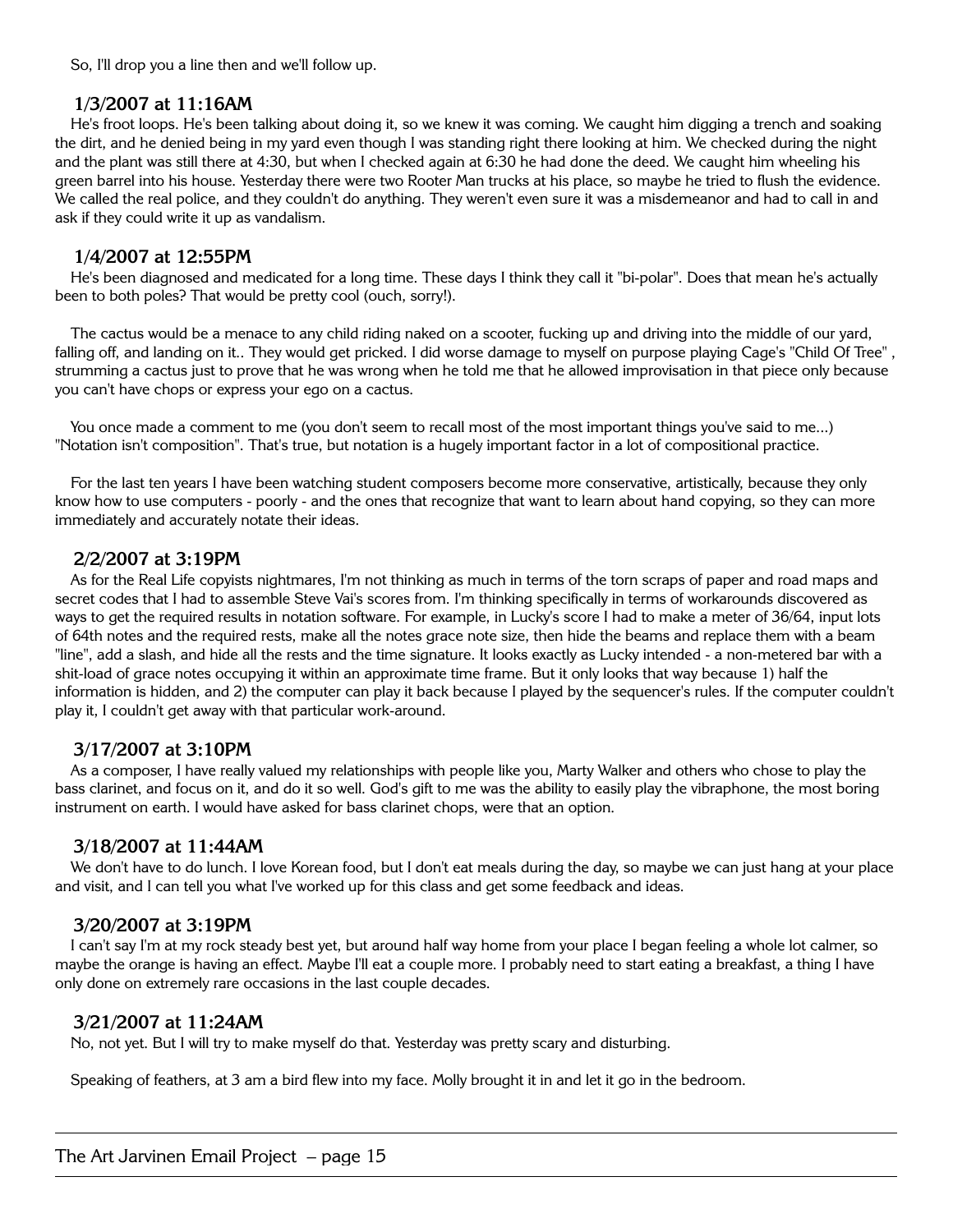So, I'll drop you a line then and we'll follow up.

# **1/3/2007 at 11:16AM**

He's froot loops. He's been talking about doing it, so we knew it was coming. We caught him digging a trench and soaking the dirt, and he denied being in my yard even though I was standing right there looking at him. We checked during the night and the plant was still there at 4:30, but when I checked again at 6:30 he had done the deed. We caught him wheeling his green barrel into his house. Yesterday there were two Rooter Man trucks at his place, so maybe he tried to flush the evidence. We called the real police, and they couldn't do anything. They weren't even sure it was a misdemeanor and had to call in and ask if they could write it up as vandalism.

## **1/4/2007 at 12:55PM**

He's been diagnosed and medicated for a long time. These days I think they call it "bi-polar". Does that mean he's actually been to both poles? That would be pretty cool (ouch, sorry!).

The cactus would be a menace to any child riding naked on a scooter, fucking up and driving into the middle of our yard, falling off, and landing on it.. They would get pricked. I did worse damage to myself on purpose playing Cage's "Child Of Tree" , strumming a cactus just to prove that he was wrong when he told me that he allowed improvisation in that piece only because you can't have chops or express your ego on a cactus.

You once made a comment to me (you don't seem to recall most of the most important things you've said to me...) "Notation isn't composition". That's true, but notation is a hugely important factor in a lot of compositional practice.

For the last ten years I have been watching student composers become more conservative, artistically, because they only know how to use computers - poorly - and the ones that recognize that want to learn about hand copying, so they can more immediately and accurately notate their ideas.

## **2/2/2007 at 3:19PM**

As for the Real Life copyists nightmares, I'm not thinking as much in terms of the torn scraps of paper and road maps and secret codes that I had to assemble Steve Vai's scores from. I'm thinking specifically in terms of workarounds discovered as ways to get the required results in notation software. For example, in Lucky's score I had to make a meter of 36/64, input lots of 64th notes and the required rests, make all the notes grace note size, then hide the beams and replace them with a beam "line", add a slash, and hide all the rests and the time signature. It looks exactly as Lucky intended - a non-metered bar with a shit-load of grace notes occupying it within an approximate time frame. But it only looks that way because 1) half the information is hidden, and 2) the computer can play it back because I played by the sequencer's rules. If the computer couldn't play it, I couldn't get away with that particular work-around.

# **3/17/2007 at 3:10PM**

As a composer, I have really valued my relationships with people like you, Marty Walker and others who chose to play the bass clarinet, and focus on it, and do it so well. God's gift to me was the ability to easily play the vibraphone, the most boring instrument on earth. I would have asked for bass clarinet chops, were that an option.

# **3/18/2007 at 11:44AM**

We don't have to do lunch. I love Korean food, but I don't eat meals during the day, so maybe we can just hang at your place and visit, and I can tell you what I've worked up for this class and get some feedback and ideas.

# **3/20/2007 at 3:19PM**

I can't say I'm at my rock steady best yet, but around half way home from your place I began feeling a whole lot calmer, so maybe the orange is having an effect. Maybe I'll eat a couple more. I probably need to start eating a breakfast, a thing I have only done on extremely rare occasions in the last couple decades.

# **3/21/2007 at 11:24AM**

No, not yet. But I will try to make myself do that. Yesterday was pretty scary and disturbing.

Speaking of feathers, at 3 am a bird flew into my face. Molly brought it in and let it go in the bedroom.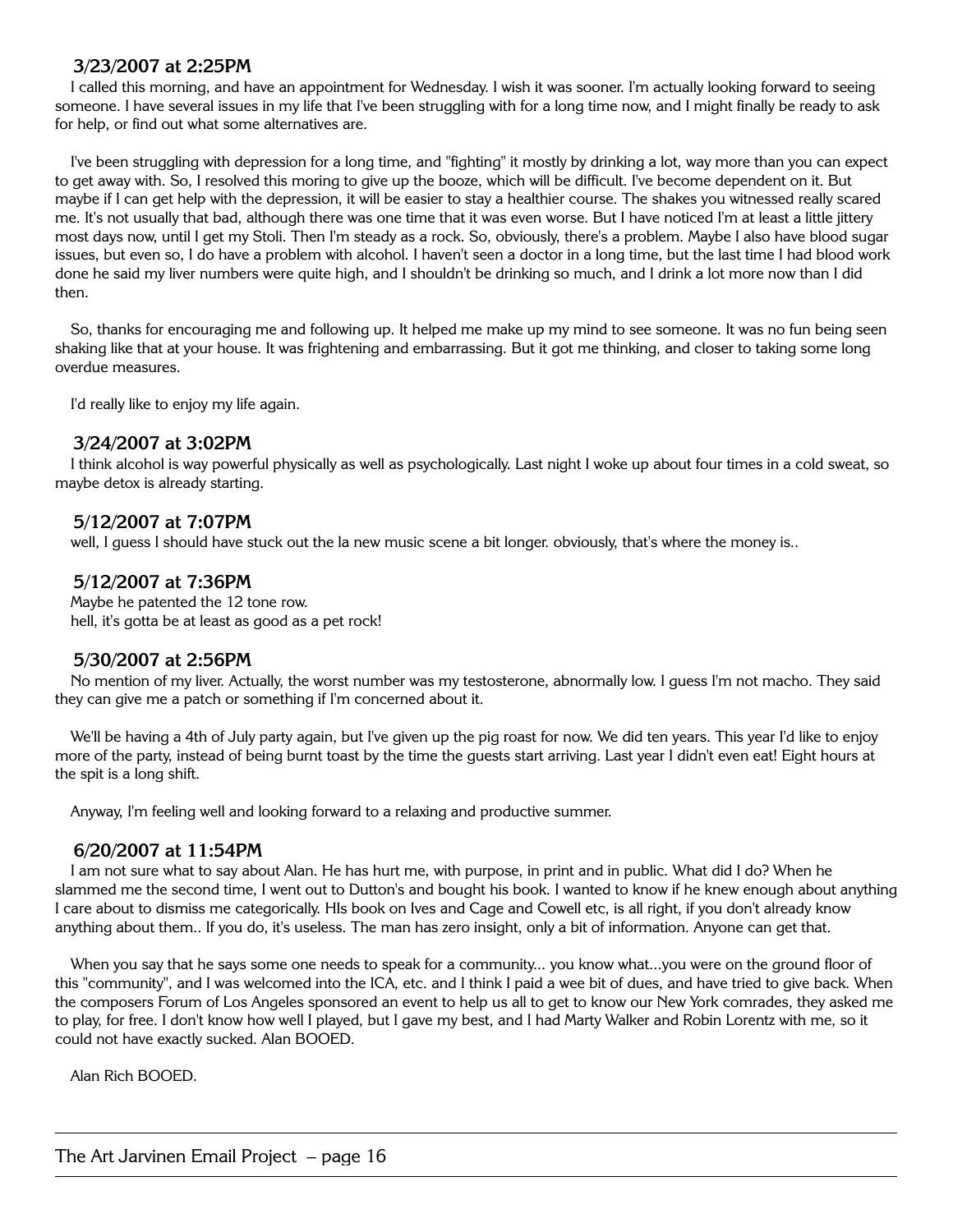# **3/23/2007 at 2:25PM**

I called this morning, and have an appointment for Wednesday. I wish it was sooner. I'm actually looking forward to seeing someone. I have several issues in my life that I've been struggling with for a long time now, and I might finally be ready to ask for help, or find out what some alternatives are.

I've been struggling with depression for a long time, and "fighting" it mostly by drinking a lot, way more than you can expect to get away with. So, I resolved this moring to give up the booze, which will be difficult. I've become dependent on it. But maybe if I can get help with the depression, it will be easier to stay a healthier course. The shakes you witnessed really scared me. It's not usually that bad, although there was one time that it was even worse. But I have noticed I'm at least a little jittery most days now, until I get my Stoli. Then I'm steady as a rock. So, obviously, there's a problem. Maybe I also have blood sugar issues, but even so, I do have a problem with alcohol. I haven't seen a doctor in a long time, but the last time I had blood work done he said my liver numbers were quite high, and I shouldn't be drinking so much, and I drink a lot more now than I did then.

So, thanks for encouraging me and following up. It helped me make up my mind to see someone. It was no fun being seen shaking like that at your house. It was frightening and embarrassing. But it got me thinking, and closer to taking some long overdue measures.

I'd really like to enjoy my life again.

## **3/24/2007 at 3:02PM**

I think alcohol is way powerful physically as well as psychologically. Last night I woke up about four times in a cold sweat, so maybe detox is already starting.

# **5/12/2007 at 7:07PM**

well, I guess I should have stuck out the la new music scene a bit longer. obviously, that's where the money is..

# **5/12/2007 at 7:36PM**

Maybe he patented the 12 tone row. hell, it's gotta be at least as good as a pet rock!

#### **5/30/2007 at 2:56PM**

No mention of my liver. Actually, the worst number was my testosterone, abnormally low. I guess I'm not macho. They said they can give me a patch or something if I'm concerned about it.

We'll be having a 4th of July party again, but I've given up the pig roast for now. We did ten years. This year I'd like to enjoy more of the party, instead of being burnt toast by the time the guests start arriving. Last year I didn't even eat! Eight hours at the spit is a long shift.

Anyway, I'm feeling well and looking forward to a relaxing and productive summer.

#### **6/20/2007 at 11:54PM**

I am not sure what to say about Alan. He has hurt me, with purpose, in print and in public. What did I do? When he slammed me the second time, I went out to Dutton's and bought his book. I wanted to know if he knew enough about anything I care about to dismiss me categorically. HIs book on Ives and Cage and Cowell etc, is all right, if you don't already know anything about them.. If you do, it's useless. The man has zero insight, only a bit of information. Anyone can get that.

When you say that he says some one needs to speak for a community... you know what...you were on the ground floor of this "community", and I was welcomed into the ICA, etc. and I think I paid a wee bit of dues, and have tried to give back. When the composers Forum of Los Angeles sponsored an event to help us all to get to know our New York comrades, they asked me to play, for free. I don't know how well I played, but I gave my best, and I had Marty Walker and Robin Lorentz with me, so it could not have exactly sucked. Alan BOOED.

Alan Rich BOOED.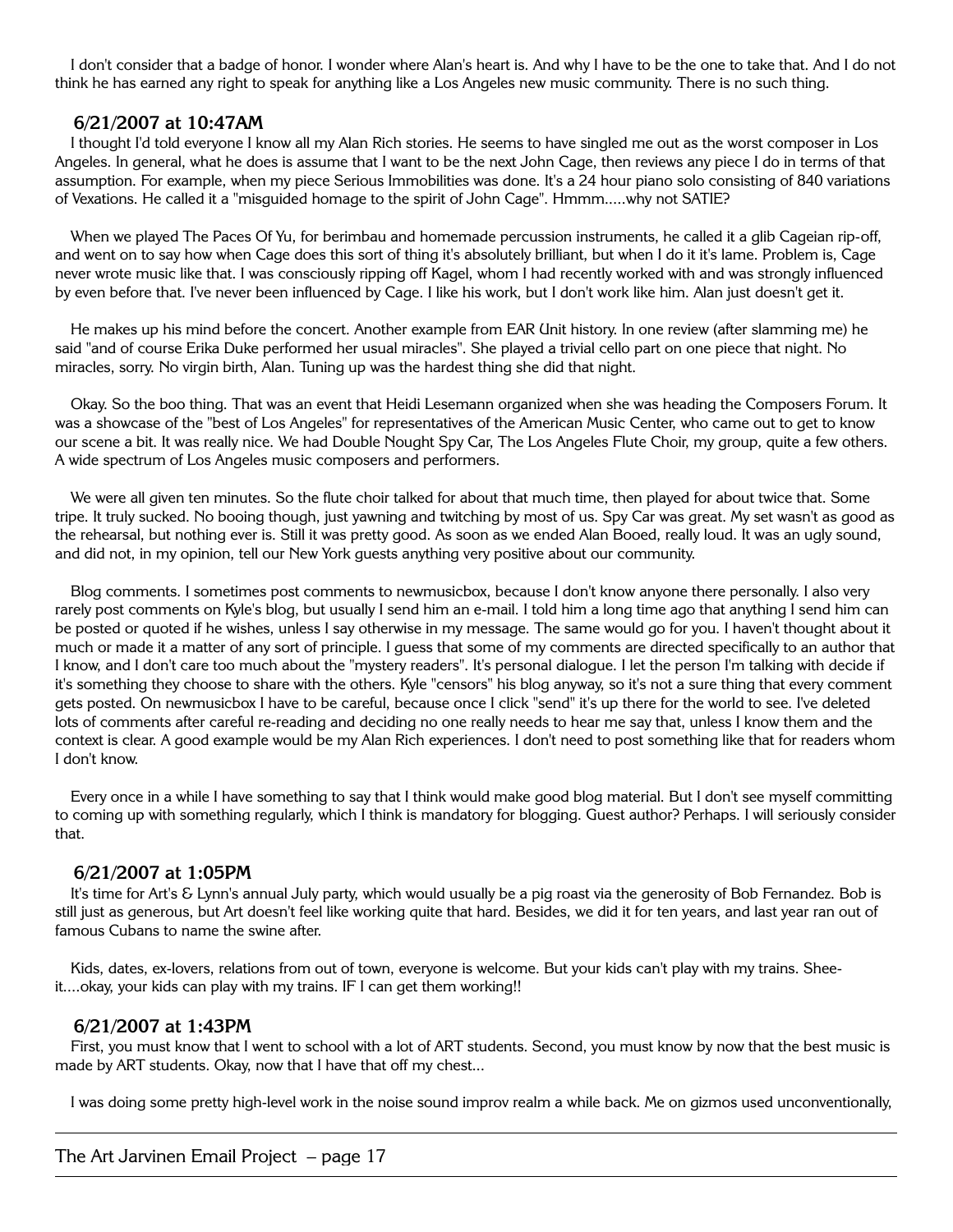I don't consider that a badge of honor. I wonder where Alan's heart is. And why I have to be the one to take that. And I do not think he has earned any right to speak for anything like a Los Angeles new music community. There is no such thing.

#### **6/21/2007 at 10:47AM**

I thought I'd told everyone I know all my Alan Rich stories. He seems to have singled me out as the worst composer in Los Angeles. In general, what he does is assume that I want to be the next John Cage, then reviews any piece I do in terms of that assumption. For example, when my piece Serious Immobilities was done. It's a 24 hour piano solo consisting of 840 variations of Vexations. He called it a "misguided homage to the spirit of John Cage". Hmmm.....why not SATIE?

When we played The Paces Of Yu, for berimbau and homemade percussion instruments, he called it a glib Cageian rip-off, and went on to say how when Cage does this sort of thing it's absolutely brilliant, but when I do it it's lame. Problem is, Cage never wrote music like that. I was consciously ripping off Kagel, whom I had recently worked with and was strongly influenced by even before that. I've never been influenced by Cage. I like his work, but I don't work like him. Alan just doesn't get it.

He makes up his mind before the concert. Another example from EAR Unit history. In one review (after slamming me) he said "and of course Erika Duke performed her usual miracles". She played a trivial cello part on one piece that night. No miracles, sorry. No virgin birth, Alan. Tuning up was the hardest thing she did that night.

Okay. So the boo thing. That was an event that Heidi Lesemann organized when she was heading the Composers Forum. It was a showcase of the "best of Los Angeles" for representatives of the American Music Center, who came out to get to know our scene a bit. It was really nice. We had Double Nought Spy Car, The Los Angeles Flute Choir, my group, quite a few others. A wide spectrum of Los Angeles music composers and performers.

We were all given ten minutes. So the flute choir talked for about that much time, then played for about twice that. Some tripe. It truly sucked. No booing though, just yawning and twitching by most of us. Spy Car was great. My set wasn't as good as the rehearsal, but nothing ever is. Still it was pretty good. As soon as we ended Alan Booed, really loud. It was an ugly sound, and did not, in my opinion, tell our New York guests anything very positive about our community.

Blog comments. I sometimes post comments to newmusicbox, because I don't know anyone there personally. I also very rarely post comments on Kyle's blog, but usually I send him an e-mail. I told him a long time ago that anything I send him can be posted or quoted if he wishes, unless I say otherwise in my message. The same would go for you. I haven't thought about it much or made it a matter of any sort of principle. I guess that some of my comments are directed specifically to an author that I know, and I don't care too much about the "mystery readers". It's personal dialogue. I let the person I'm talking with decide if it's something they choose to share with the others. Kyle "censors" his blog anyway, so it's not a sure thing that every comment gets posted. On newmusicbox I have to be careful, because once I click "send" it's up there for the world to see. I've deleted lots of comments after careful re-reading and deciding no one really needs to hear me say that, unless I know them and the context is clear. A good example would be my Alan Rich experiences. I don't need to post something like that for readers whom I don't know.

Every once in a while I have something to say that I think would make good blog material. But I don't see myself committing to coming up with something regularly, which I think is mandatory for blogging. Guest author? Perhaps. I will seriously consider that.

#### **6/21/2007 at 1:05PM**

It's time for Art's & Lynn's annual July party, which would usually be a pig roast via the generosity of Bob Fernandez. Bob is still just as generous, but Art doesn't feel like working quite that hard. Besides, we did it for ten years, and last year ran out of famous Cubans to name the swine after.

Kids, dates, ex-lovers, relations from out of town, everyone is welcome. But your kids can't play with my trains. Sheeit....okay, your kids can play with my trains. IF I can get them working!!

#### **6/21/2007 at 1:43PM**

First, you must know that I went to school with a lot of ART students. Second, you must know by now that the best music is made by ART students. Okay, now that I have that off my chest...

I was doing some pretty high-level work in the noise sound improv realm a while back. Me on gizmos used unconventionally,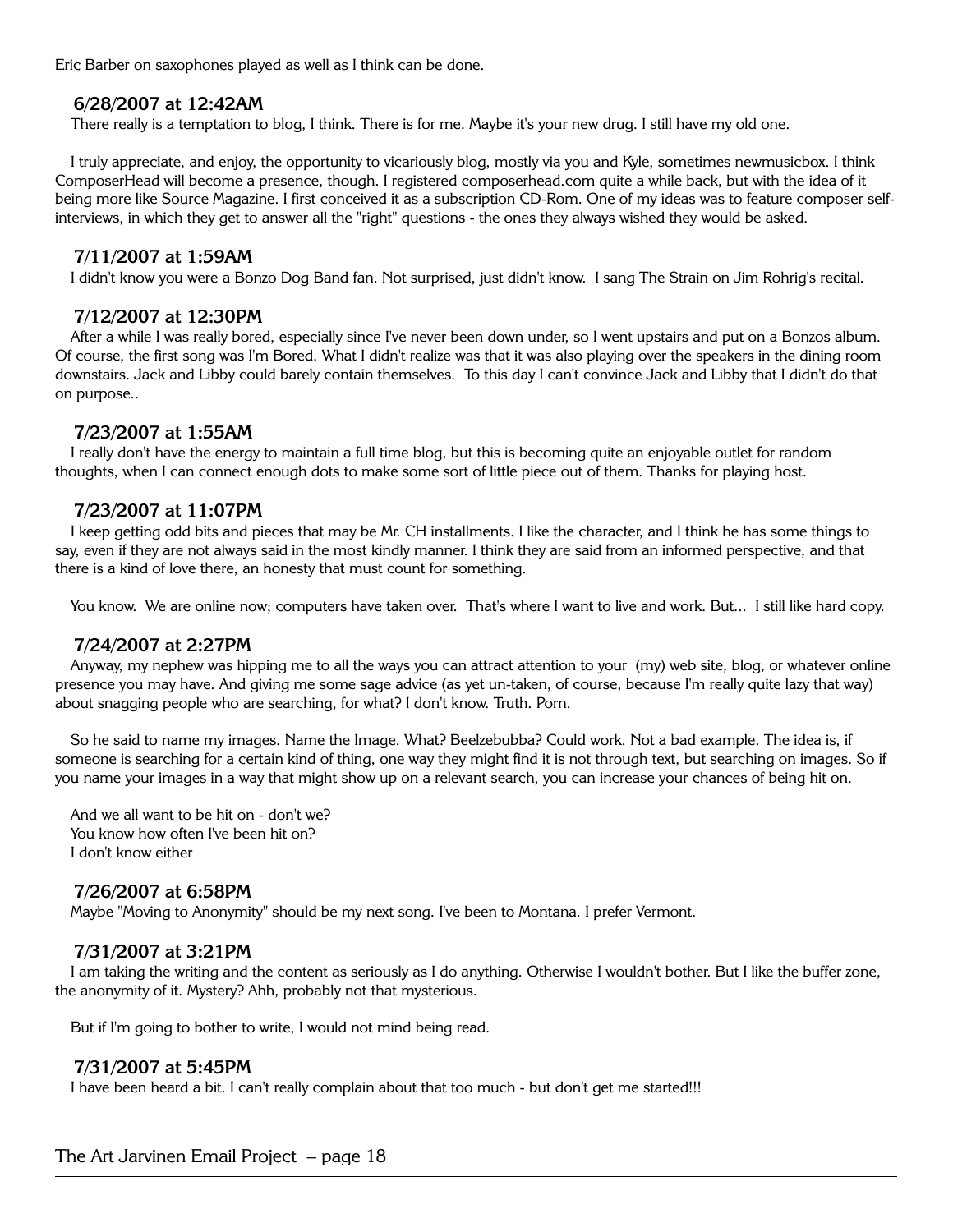Eric Barber on saxophones played as well as I think can be done.

#### **6/28/2007 at 12:42AM**

There really is a temptation to blog, I think. There is for me. Maybe it's your new drug. I still have my old one.

I truly appreciate, and enjoy, the opportunity to vicariously blog, mostly via you and Kyle, sometimes newmusicbox. I think ComposerHead will become a presence, though. I registered composerhead.com quite a while back, but with the idea of it being more like Source Magazine. I first conceived it as a subscription CD-Rom. One of my ideas was to feature composer selfinterviews, in which they get to answer all the "right" questions - the ones they always wished they would be asked.

#### **7/11/2007 at 1:59AM**

I didn't know you were a Bonzo Dog Band fan. Not surprised, just didn't know. I sang The Strain on Jim Rohrig's recital.

#### **7/12/2007 at 12:30PM**

After a while I was really bored, especially since I've never been down under, so I went upstairs and put on a Bonzos album. Of course, the first song was I'm Bored. What I didn't realize was that it was also playing over the speakers in the dining room downstairs. Jack and Libby could barely contain themselves. To this day I can't convince Jack and Libby that I didn't do that on purpose..

#### **7/23/2007 at 1:55AM**

I really don't have the energy to maintain a full time blog, but this is becoming quite an enjoyable outlet for random thoughts, when I can connect enough dots to make some sort of little piece out of them. Thanks for playing host.

#### **7/23/2007 at 11:07PM**

I keep getting odd bits and pieces that may be Mr. CH installments. I like the character, and I think he has some things to say, even if they are not always said in the most kindly manner. I think they are said from an informed perspective, and that there is a kind of love there, an honesty that must count for something.

You know. We are online now; computers have taken over. That's where I want to live and work. But... I still like hard copy.

#### **7/24/2007 at 2:27PM**

Anyway, my nephew was hipping me to all the ways you can attract attention to your (my) web site, blog, or whatever online presence you may have. And giving me some sage advice (as yet un-taken, of course, because I'm really quite lazy that way) about snagging people who are searching, for what? I don't know. Truth. Porn.

So he said to name my images. Name the Image. What? Beelzebubba? Could work. Not a bad example. The idea is, if someone is searching for a certain kind of thing, one way they might find it is not through text, but searching on images. So if you name your images in a way that might show up on a relevant search, you can increase your chances of being hit on.

And we all want to be hit on - don't we? You know how often I've been hit on? I don't know either

#### **7/26/2007 at 6:58PM**

Maybe "Moving to Anonymity" should be my next song. I've been to Montana. I prefer Vermont.

#### **7/31/2007 at 3:21PM**

I am taking the writing and the content as seriously as I do anything. Otherwise I wouldn't bother. But I like the buffer zone, the anonymity of it. Mystery? Ahh, probably not that mysterious.

But if I'm going to bother to write, I would not mind being read.

#### **7/31/2007 at 5:45PM**

I have been heard a bit. I can't really complain about that too much - but don't get me started!!!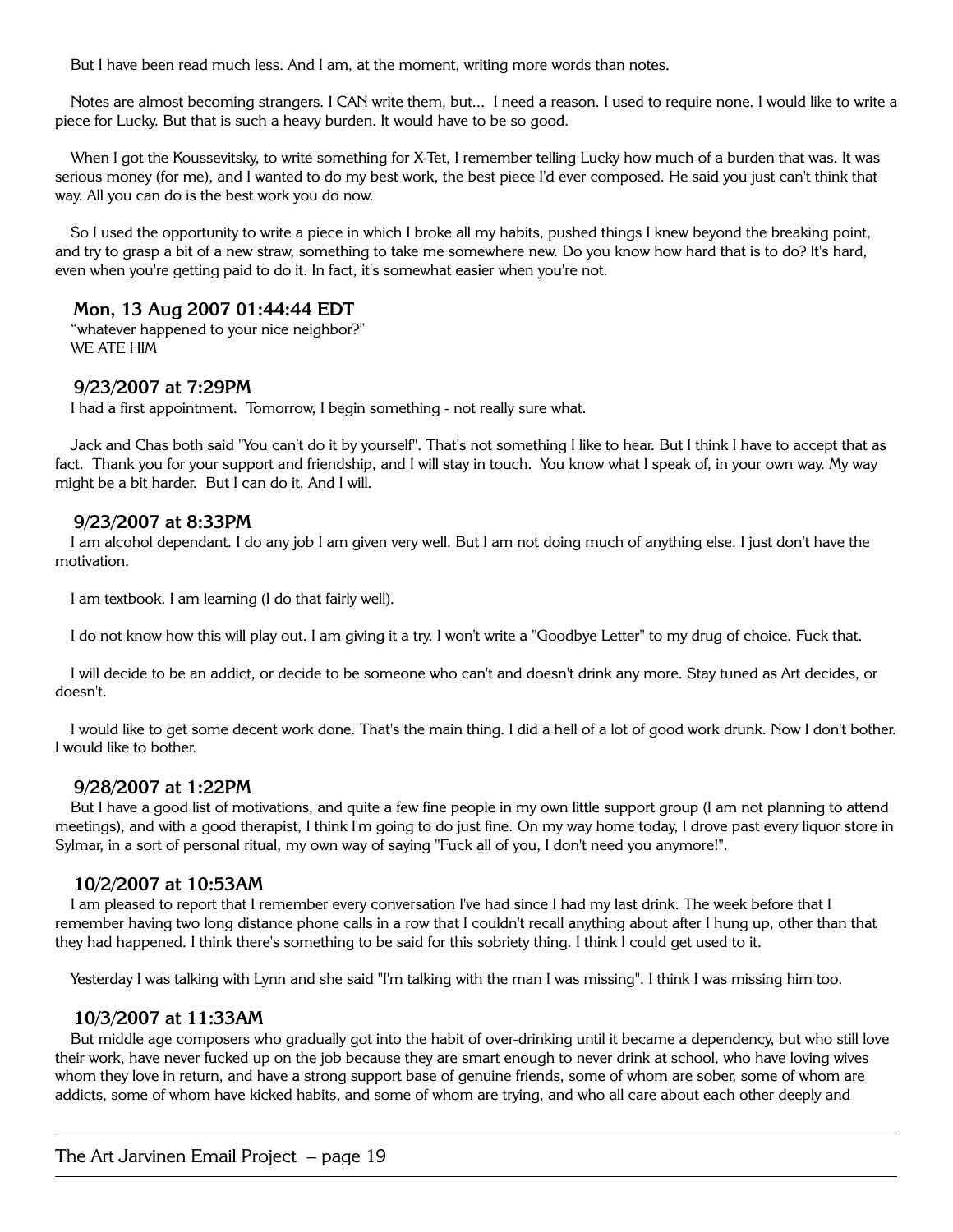But I have been read much less. And I am, at the moment, writing more words than notes.

Notes are almost becoming strangers. I CAN write them, but... I need a reason. I used to require none. I would like to write a piece for Lucky. But that is such a heavy burden. It would have to be so good.

When I got the Koussevitsky, to write something for X-Tet, I remember telling Lucky how much of a burden that was. It was serious money (for me), and I wanted to do my best work, the best piece I'd ever composed. He said you just can't think that way. All you can do is the best work you do now.

So I used the opportunity to write a piece in which I broke all my habits, pushed things I knew beyond the breaking point, and try to grasp a bit of a new straw, something to take me somewhere new. Do you know how hard that is to do? It's hard, even when you're getting paid to do it. In fact, it's somewhat easier when you're not.

# **Mon, 13 Aug 2007 01:44:44 EDT**

"whatever happened to your nice neighbor?" WE ATE HIM

## **9/23/2007 at 7:29PM**

I had a first appointment. Tomorrow, I begin something - not really sure what.

Jack and Chas both said "You can't do it by yourself". That's not something I like to hear. But I think I have to accept that as fact. Thank you for your support and friendship, and I will stay in touch. You know what I speak of, in your own way. My way might be a bit harder. But I can do it. And I will.

## **9/23/2007 at 8:33PM**

I am alcohol dependant. I do any job I am given very well. But I am not doing much of anything else. I just don't have the motivation.

I am textbook. I am learning (I do that fairly well).

I do not know how this will play out. I am giving it a try. I won't write a "Goodbye Letter" to my drug of choice. Fuck that.

I will decide to be an addict, or decide to be someone who can't and doesn't drink any more. Stay tuned as Art decides, or doesn't.

I would like to get some decent work done. That's the main thing. I did a hell of a lot of good work drunk. Now I don't bother. I would like to bother.

#### **9/28/2007 at 1:22PM**

But I have a good list of motivations, and quite a few fine people in my own little support group (I am not planning to attend meetings), and with a good therapist, I think I'm going to do just fine. On my way home today, I drove past every liquor store in Sylmar, in a sort of personal ritual, my own way of saying "Fuck all of you, I don't need you anymore!".

#### **10/2/2007 at 10:53AM**

I am pleased to report that I remember every conversation I've had since I had my last drink. The week before that I remember having two long distance phone calls in a row that I couldn't recall anything about after I hung up, other than that they had happened. I think there's something to be said for this sobriety thing. I think I could get used to it.

Yesterday I was talking with Lynn and she said "I'm talking with the man I was missing". I think I was missing him too.

#### **10/3/2007 at 11:33AM**

But middle age composers who gradually got into the habit of over-drinking until it became a dependency, but who still love their work, have never fucked up on the job because they are smart enough to never drink at school, who have loving wives whom they love in return, and have a strong support base of genuine friends, some of whom are sober, some of whom are addicts, some of whom have kicked habits, and some of whom are trying, and who all care about each other deeply and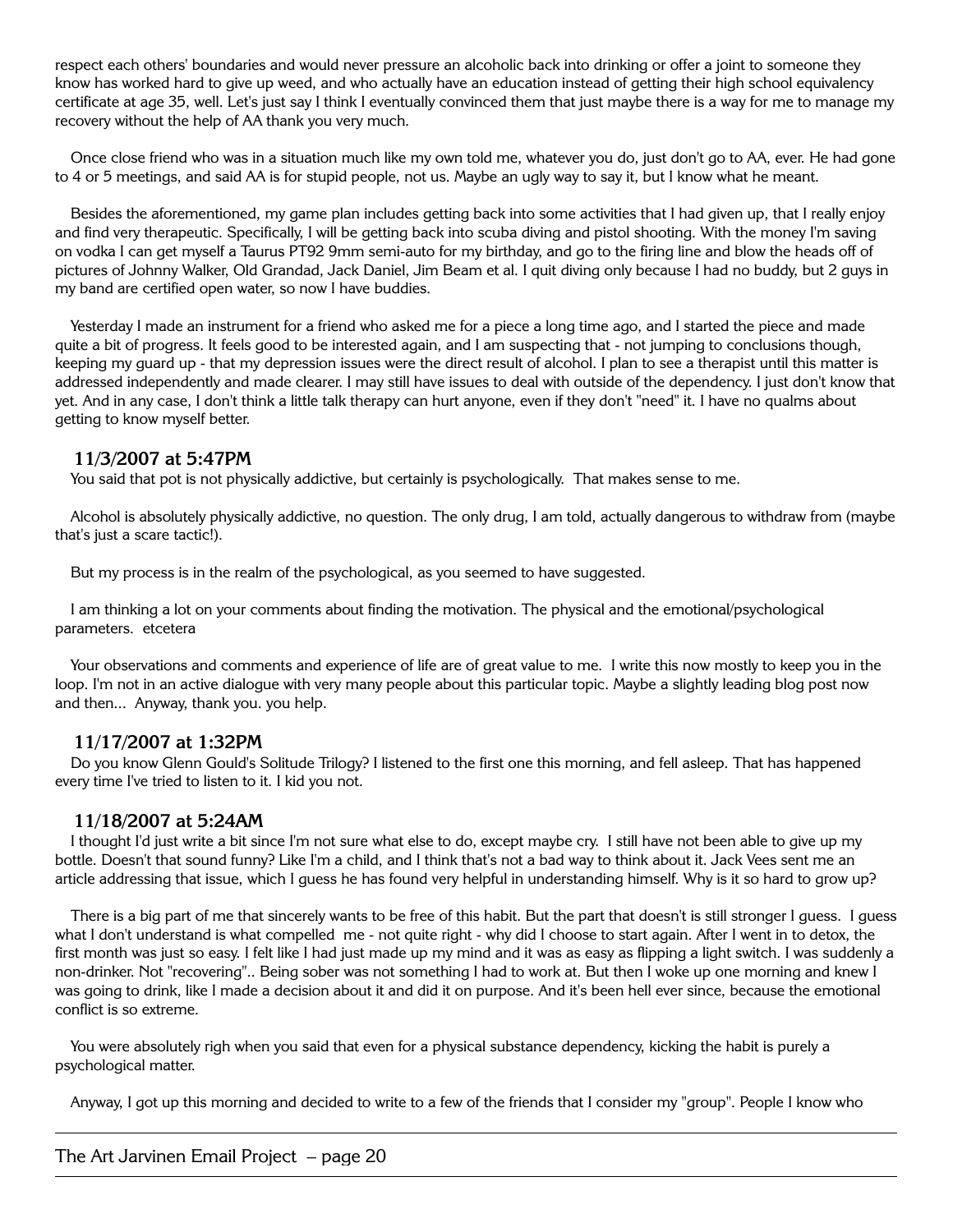respect each others' boundaries and would never pressure an alcoholic back into drinking or offer a joint to someone they know has worked hard to give up weed, and who actually have an education instead of getting their high school equivalency certificate at age 35, well. Let's just say I think I eventually convinced them that just maybe there is a way for me to manage my recovery without the help of AA thank you very much.

Once close friend who was in a situation much like my own told me, whatever you do, just don't go to AA, ever. He had gone to 4 or 5 meetings, and said AA is for stupid people, not us. Maybe an ugly way to say it, but I know what he meant.

Besides the aforementioned, my game plan includes getting back into some activities that I had given up, that I really enjoy and find very therapeutic. Specifically, I will be getting back into scuba diving and pistol shooting. With the money I'm saving on vodka I can get myself a Taurus PT92 9mm semi-auto for my birthday, and go to the firing line and blow the heads off of pictures of Johnny Walker, Old Grandad, Jack Daniel, Jim Beam et al. I quit diving only because I had no buddy, but 2 guys in my band are certified open water, so now I have buddies.

Yesterday I made an instrument for a friend who asked me for a piece a long time ago, and I started the piece and made quite a bit of progress. It feels good to be interested again, and I am suspecting that - not jumping to conclusions though, keeping my guard up - that my depression issues were the direct result of alcohol. I plan to see a therapist until this matter is addressed independently and made clearer. I may still have issues to deal with outside of the dependency. I just don't know that yet. And in any case, I don't think a little talk therapy can hurt anyone, even if they don't "need" it. I have no qualms about getting to know myself better.

## **11/3/2007 at 5:47PM**

You said that pot is not physically addictive, but certainly is psychologically. That makes sense to me.

Alcohol is absolutely physically addictive, no question. The only drug, I am told, actually dangerous to withdraw from (maybe that's just a scare tactic!).

But my process is in the realm of the psychological, as you seemed to have suggested.

I am thinking a lot on your comments about finding the motivation. The physical and the emotional/psychological parameters. etcetera

Your observations and comments and experience of life are of great value to me. I write this now mostly to keep you in the loop. I'm not in an active dialogue with very many people about this particular topic. Maybe a slightly leading blog post now and then... Anyway, thank you. you help.

#### **11/17/2007 at 1:32PM**

Do you know Glenn Gould's Solitude Trilogy? I listened to the first one this morning, and fell asleep. That has happened every time I've tried to listen to it. I kid you not.

# **11/18/2007 at 5:24AM**

I thought I'd just write a bit since I'm not sure what else to do, except maybe cry. I still have not been able to give up my bottle. Doesn't that sound funny? Like I'm a child, and I think that's not a bad way to think about it. Jack Vees sent me an article addressing that issue, which I guess he has found very helpful in understanding himself. Why is it so hard to grow up?

There is a big part of me that sincerely wants to be free of this habit. But the part that doesn't is still stronger I guess. I guess what I don't understand is what compelled me - not quite right - why did I choose to start again. After I went in to detox, the first month was just so easy. I felt like I had just made up my mind and it was as easy as flipping a light switch. I was suddenly a non-drinker. Not "recovering".. Being sober was not something I had to work at. But then I woke up one morning and knew I was going to drink, like I made a decision about it and did it on purpose. And it's been hell ever since, because the emotional conflict is so extreme.

You were absolutely righ when you said that even for a physical substance dependency, kicking the habit is purely a psychological matter.

Anyway, I got up this morning and decided to write to a few of the friends that I consider my "group". People I know who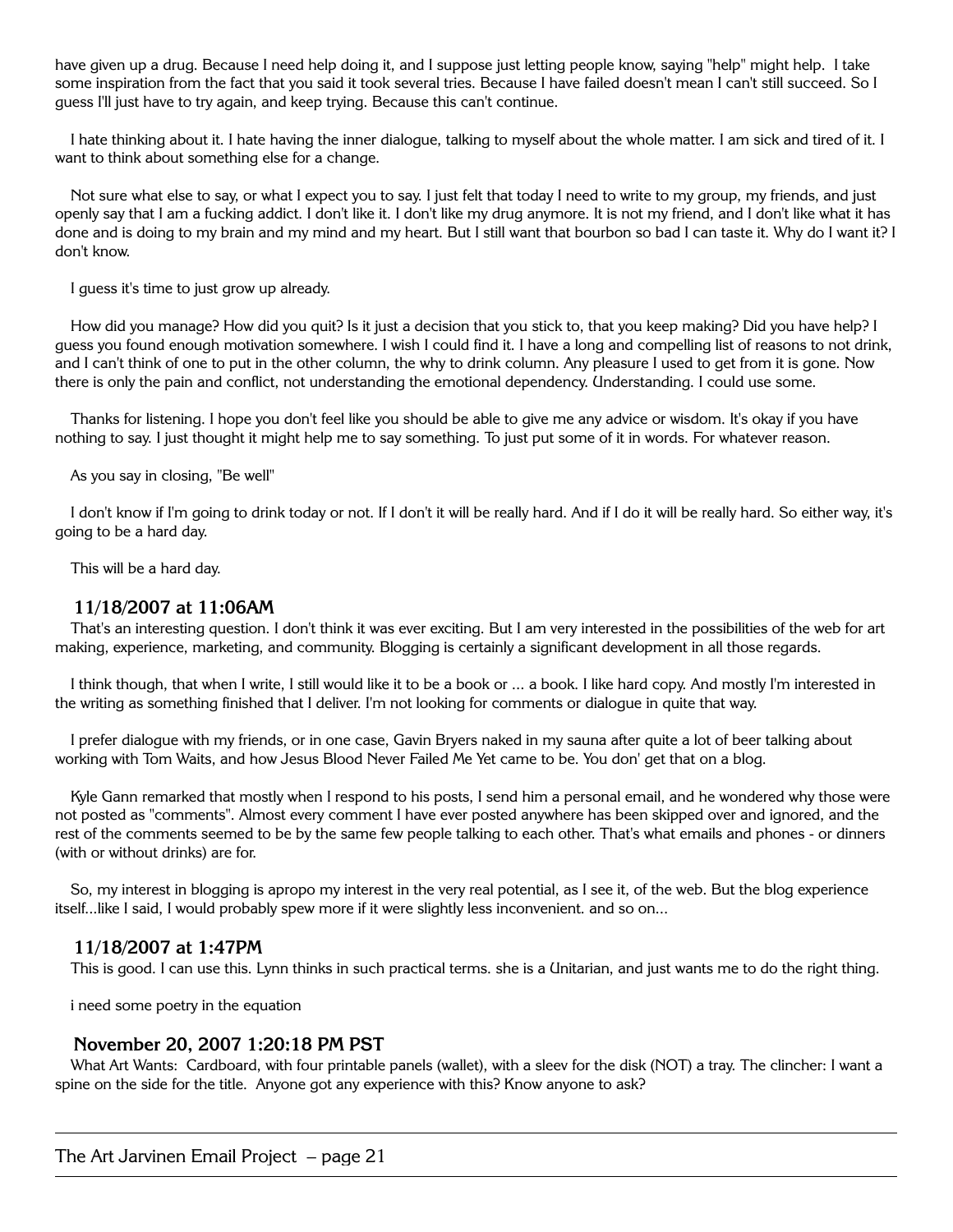have given up a drug. Because I need help doing it, and I suppose just letting people know, saying "help" might help. I take some inspiration from the fact that you said it took several tries. Because I have failed doesn't mean I can't still succeed. So I guess I'll just have to try again, and keep trying. Because this can't continue.

I hate thinking about it. I hate having the inner dialogue, talking to myself about the whole matter. I am sick and tired of it. I want to think about something else for a change.

Not sure what else to say, or what I expect you to say. I just felt that today I need to write to my group, my friends, and just openly say that I am a fucking addict. I don't like it. I don't like my drug anymore. It is not my friend, and I don't like what it has done and is doing to my brain and my mind and my heart. But I still want that bourbon so bad I can taste it. Why do I want it? I don't know.

I guess it's time to just grow up already.

How did you manage? How did you quit? Is it just a decision that you stick to, that you keep making? Did you have help? I guess you found enough motivation somewhere. I wish I could find it. I have a long and compelling list of reasons to not drink, and I can't think of one to put in the other column, the why to drink column. Any pleasure I used to get from it is gone. Now there is only the pain and conflict, not understanding the emotional dependency. Understanding. I could use some.

Thanks for listening. I hope you don't feel like you should be able to give me any advice or wisdom. It's okay if you have nothing to say. I just thought it might help me to say something. To just put some of it in words. For whatever reason.

As you say in closing, "Be well"

I don't know if I'm going to drink today or not. If I don't it will be really hard. And if I do it will be really hard. So either way, it's going to be a hard day.

This will be a hard day.

#### **11/18/2007 at 11:06AM**

That's an interesting question. I don't think it was ever exciting. But I am very interested in the possibilities of the web for art making, experience, marketing, and community. Blogging is certainly a significant development in all those regards.

I think though, that when I write, I still would like it to be a book or ... a book. I like hard copy. And mostly I'm interested in the writing as something finished that I deliver. I'm not looking for comments or dialogue in quite that way.

I prefer dialogue with my friends, or in one case, Gavin Bryers naked in my sauna after quite a lot of beer talking about working with Tom Waits, and how Jesus Blood Never Failed Me Yet came to be. You don' get that on a blog.

Kyle Gann remarked that mostly when I respond to his posts, I send him a personal email, and he wondered why those were not posted as "comments". Almost every comment I have ever posted anywhere has been skipped over and ignored, and the rest of the comments seemed to be by the same few people talking to each other. That's what emails and phones - or dinners (with or without drinks) are for.

So, my interest in blogging is apropo my interest in the very real potential, as I see it, of the web. But the blog experience itself...like I said, I would probably spew more if it were slightly less inconvenient. and so on...

#### **11/18/2007 at 1:47PM**

This is good. I can use this. Lynn thinks in such practical terms. she is a Unitarian, and just wants me to do the right thing.

i need some poetry in the equation

#### **November 20, 2007 1:20:18 PM PST**

What Art Wants: Cardboard, with four printable panels (wallet), with a sleev for the disk (NOT) a tray. The clincher: I want a spine on the side for the title. Anyone got any experience with this? Know anyone to ask?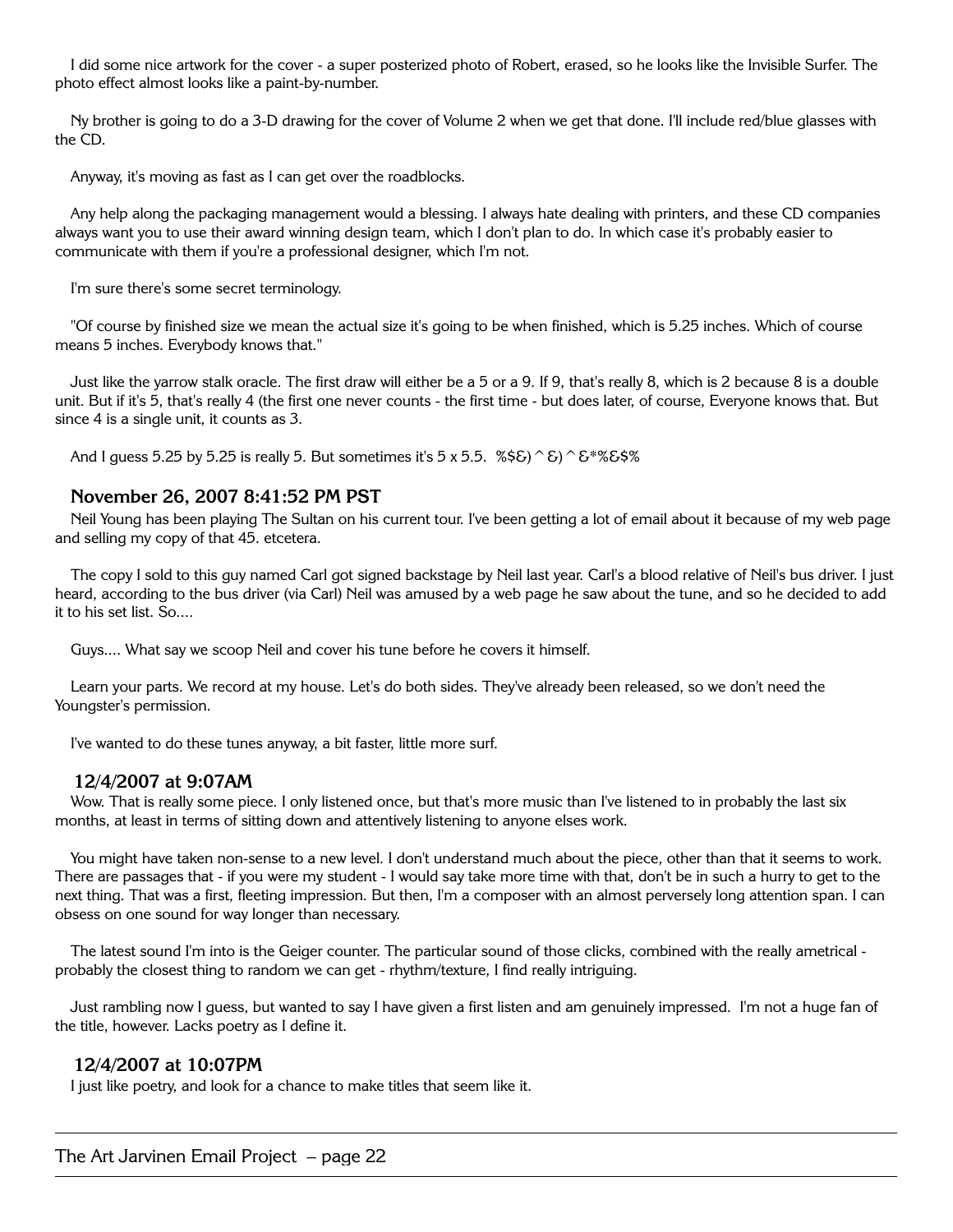I did some nice artwork for the cover - a super posterized photo of Robert, erased, so he looks like the Invisible Surfer. The photo effect almost looks like a paint-by-number.

Ny brother is going to do a 3-D drawing for the cover of Volume 2 when we get that done. I'll include red/blue glasses with the CD.

Anyway, it's moving as fast as I can get over the roadblocks.

Any help along the packaging management would a blessing. I always hate dealing with printers, and these CD companies always want you to use their award winning design team, which I don't plan to do. In which case it's probably easier to communicate with them if you're a professional designer, which I'm not.

I'm sure there's some secret terminology.

"Of course by finished size we mean the actual size it's going to be when finished, which is 5.25 inches. Which of course means 5 inches. Everybody knows that."

Just like the yarrow stalk oracle. The first draw will either be a 5 or a 9. If 9, that's really 8, which is 2 because 8 is a double unit. But if it's 5, that's really 4 (the first one never counts - the first time - but does later, of course, Everyone knows that. But since 4 is a single unit, it counts as 3.

And I guess 5.25 by 5.25 is really 5. But sometimes it's 5 x 5.5.  $\%$ \$&) ^ & \times \text{ \eff{ \text{ \sigma\_{S}\$ \text{ \text{ \sigma\_{D}\$ \text{ \sigma\_{D}\$ \text{ \sigma\_{D}\$ \text{ \sigma\_{D}\$ \text{ \sigma\_{D}\$ \t

## **November 26, 2007 8:41:52 PM PST**

Neil Young has been playing The Sultan on his current tour. I've been getting a lot of email about it because of my web page and selling my copy of that 45. etcetera.

The copy I sold to this guy named Carl got signed backstage by Neil last year. Carl's a blood relative of Neil's bus driver. I just heard, according to the bus driver (via Carl) Neil was amused by a web page he saw about the tune, and so he decided to add it to his set list. So....

Guys.... What say we scoop Neil and cover his tune before he covers it himself.

Learn your parts. We record at my house. Let's do both sides. They've already been released, so we don't need the Youngster's permission.

I've wanted to do these tunes anyway, a bit faster, little more surf.

#### **12/4/2007 at 9:07AM**

Wow. That is really some piece. I only listened once, but that's more music than I've listened to in probably the last six months, at least in terms of sitting down and attentively listening to anyone elses work.

You might have taken non-sense to a new level. I don't understand much about the piece, other than that it seems to work. There are passages that - if you were my student - I would say take more time with that, don't be in such a hurry to get to the next thing. That was a first, fleeting impression. But then, I'm a composer with an almost perversely long attention span. I can obsess on one sound for way longer than necessary.

The latest sound I'm into is the Geiger counter. The particular sound of those clicks, combined with the really ametrical probably the closest thing to random we can get - rhythm/texture, I find really intriguing.

Just rambling now I guess, but wanted to say I have given a first listen and am genuinely impressed. I'm not a huge fan of the title, however. Lacks poetry as I define it.

#### **12/4/2007 at 10:07PM**

I just like poetry, and look for a chance to make titles that seem like it.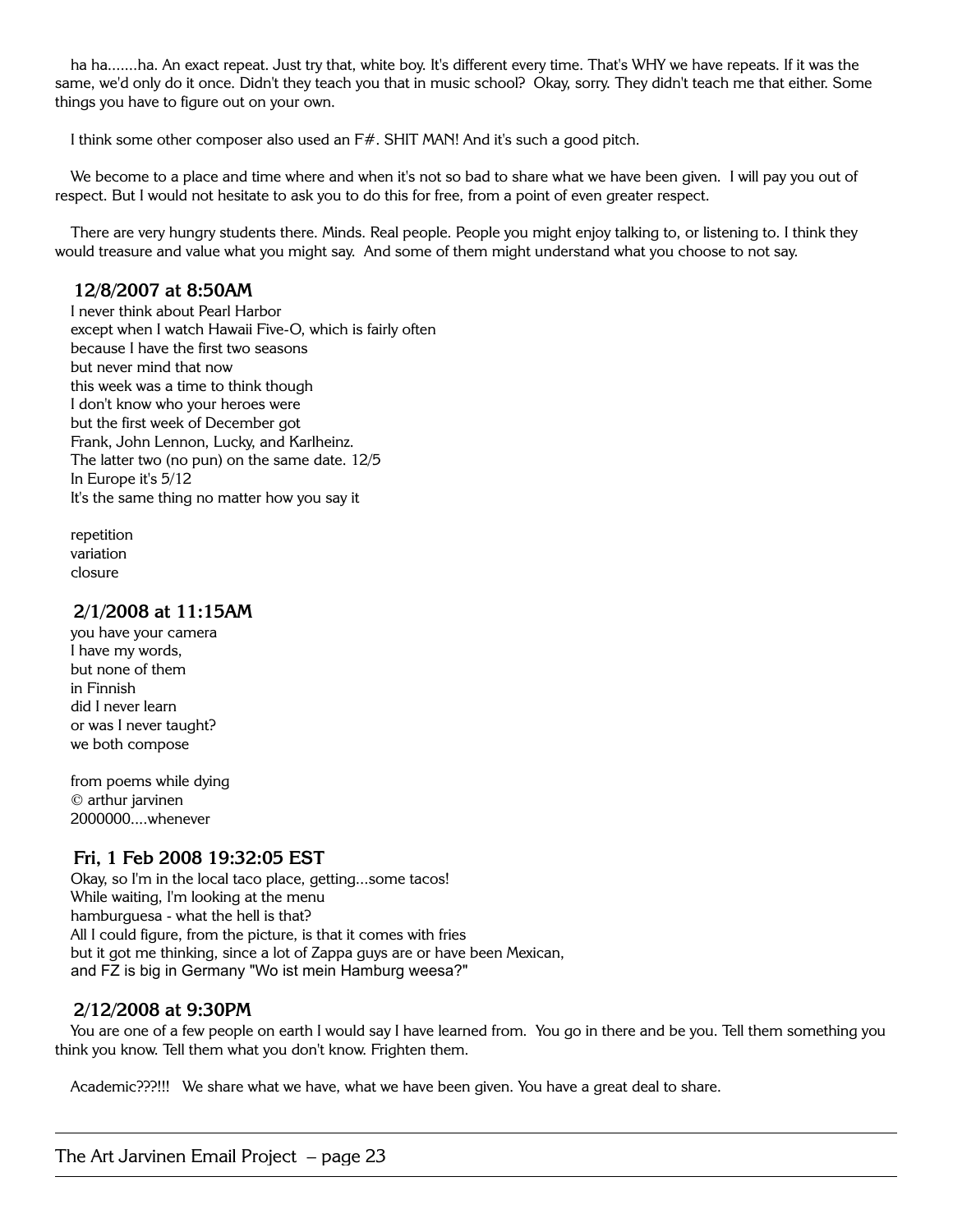ha ha.......ha. An exact repeat. Just try that, white boy. It's different every time. That's WHY we have repeats. If it was the same, we'd only do it once. Didn't they teach you that in music school? Okay, sorry. They didn't teach me that either. Some things you have to figure out on your own.

I think some other composer also used an F#. SHIT MAN! And it's such a good pitch.

We become to a place and time where and when it's not so bad to share what we have been given. I will pay you out of respect. But I would not hesitate to ask you to do this for free, from a point of even greater respect.

There are very hungry students there. Minds. Real people. People you might enjoy talking to, or listening to. I think they would treasure and value what you might say. And some of them might understand what you choose to not say.

## **12/8/2007 at 8:50AM**

I never think about Pearl Harbor except when I watch Hawaii Five-O, which is fairly often because I have the first two seasons but never mind that now this week was a time to think though I don't know who your heroes were but the first week of December got Frank, John Lennon, Lucky, and Karlheinz. The latter two (no pun) on the same date. 12/5 In Europe it's 5/12 It's the same thing no matter how you say it

repetition variation closure

## **2/1/2008 at 11:15AM**

you have your camera I have my words, but none of them in Finnish did I never learn or was I never taught? we both compose

from poems while dying © arthur jarvinen 2000000....whenever

# **Fri, 1 Feb 2008 19:32:05 EST**

Okay, so I'm in the local taco place, getting...some tacos! While waiting, I'm looking at the menu hamburguesa - what the hell is that? All I could figure, from the picture, is that it comes with fries but it got me thinking, since a lot of Zappa guys are or have been Mexican, and FZ is big in Germany "Wo ist mein Hamburg weesa?"

# **2/12/2008 at 9:30PM**

You are one of a few people on earth I would say I have learned from. You go in there and be you. Tell them something you think you know. Tell them what you don't know. Frighten them.

Academic???!!! We share what we have, what we have been given. You have a great deal to share.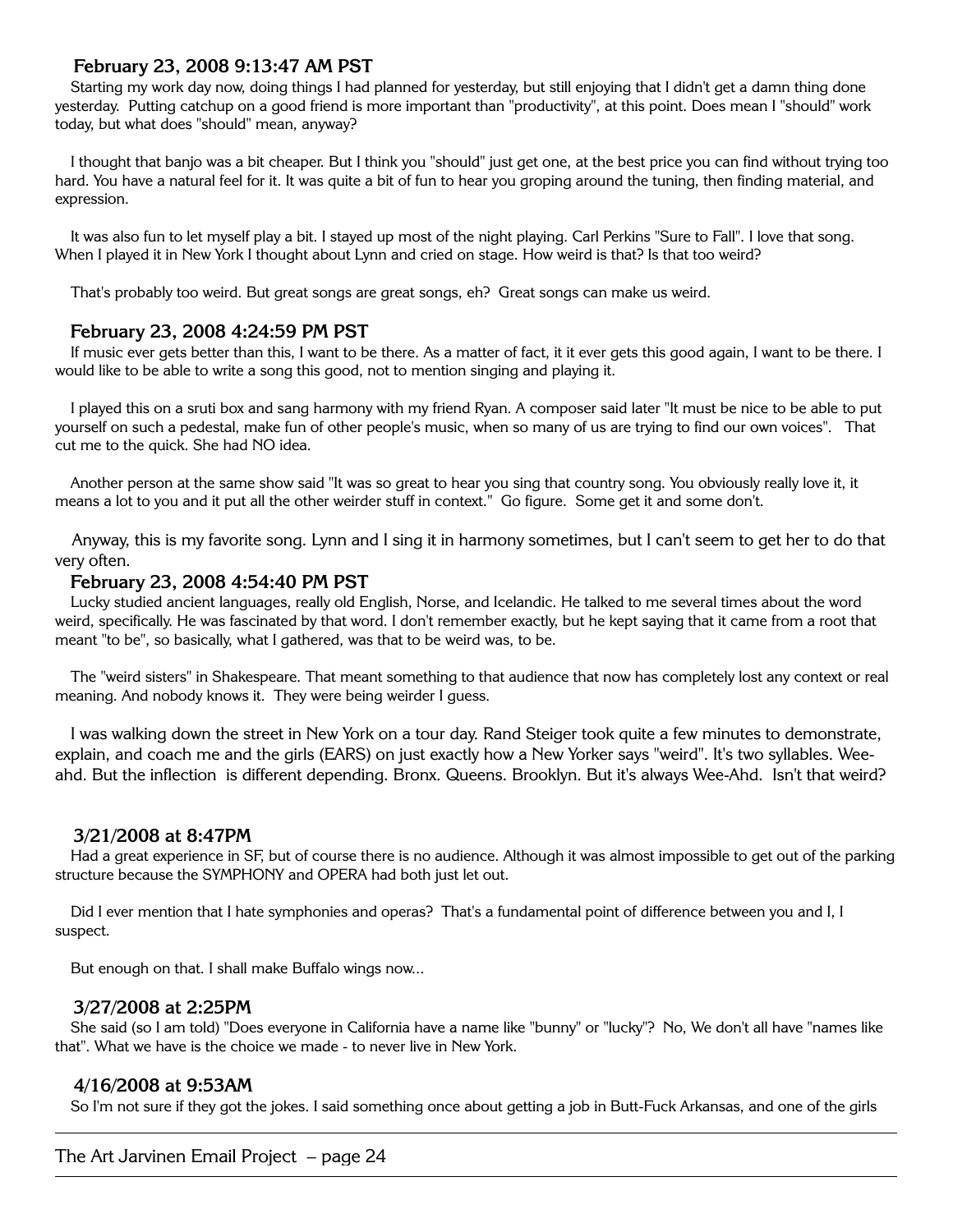# **February 23, 2008 9:13:47 AM PST**

Starting my work day now, doing things I had planned for yesterday, but still enjoying that I didn't get a damn thing done yesterday. Putting catchup on a good friend is more important than "productivity", at this point. Does mean I "should" work today, but what does "should" mean, anyway?

I thought that banjo was a bit cheaper. But I think you "should" just get one, at the best price you can find without trying too hard. You have a natural feel for it. It was quite a bit of fun to hear you groping around the tuning, then finding material, and expression.

It was also fun to let myself play a bit. I stayed up most of the night playing. Carl Perkins "Sure to Fall". I love that song. When I played it in New York I thought about Lynn and cried on stage. How weird is that? Is that too weird?

That's probably too weird. But great songs are great songs, eh? Great songs can make us weird.

## **February 23, 2008 4:24:59 PM PST**

If music ever gets better than this, I want to be there. As a matter of fact, it it ever gets this good again, I want to be there. I would like to be able to write a song this good, not to mention singing and playing it.

I played this on a sruti box and sang harmony with my friend Ryan. A composer said later "It must be nice to be able to put yourself on such a pedestal, make fun of other people's music, when so many of us are trying to find our own voices". That cut me to the quick. She had NO idea.

Another person at the same show said "It was so great to hear you sing that country song. You obviously really love it, it means a lot to you and it put all the other weirder stuff in context." Go figure. Some get it and some don't.

Anyway, this is my favorite song. Lynn and I sing it in harmony sometimes, but I can't seem to get her to do that very often.

## **February 23, 2008 4:54:40 PM PST**

Lucky studied ancient languages, really old English, Norse, and Icelandic. He talked to me several times about the word weird, specifically. He was fascinated by that word. I don't remember exactly, but he kept saying that it came from a root that meant "to be", so basically, what I gathered, was that to be weird was, to be.

The "weird sisters" in Shakespeare. That meant something to that audience that now has completely lost any context or real meaning. And nobody knows it. They were being weirder I guess.

I was walking down the street in New York on a tour day. Rand Steiger took quite a few minutes to demonstrate, explain, and coach me and the girls (EARS) on just exactly how a New Yorker says "weird". It's two syllables. Weeahd. But the inflection is different depending. Bronx. Queens. Brooklyn. But it's always Wee-Ahd. Isn't that weird?

#### **3/21/2008 at 8:47PM**

Had a great experience in SF, but of course there is no audience. Although it was almost impossible to get out of the parking structure because the SYMPHONY and OPERA had both just let out.

Did I ever mention that I hate symphonies and operas? That's a fundamental point of difference between you and I, I suspect.

But enough on that. I shall make Buffalo wings now...

#### **3/27/2008 at 2:25PM**

She said (so I am told) "Does everyone in California have a name like "bunny" or "lucky"? No, We don't all have "names like that". What we have is the choice we made - to never live in New York.

# **4/16/2008 at 9:53AM**

So I'm not sure if they got the jokes. I said something once about getting a job in Butt-Fuck Arkansas, and one of the girls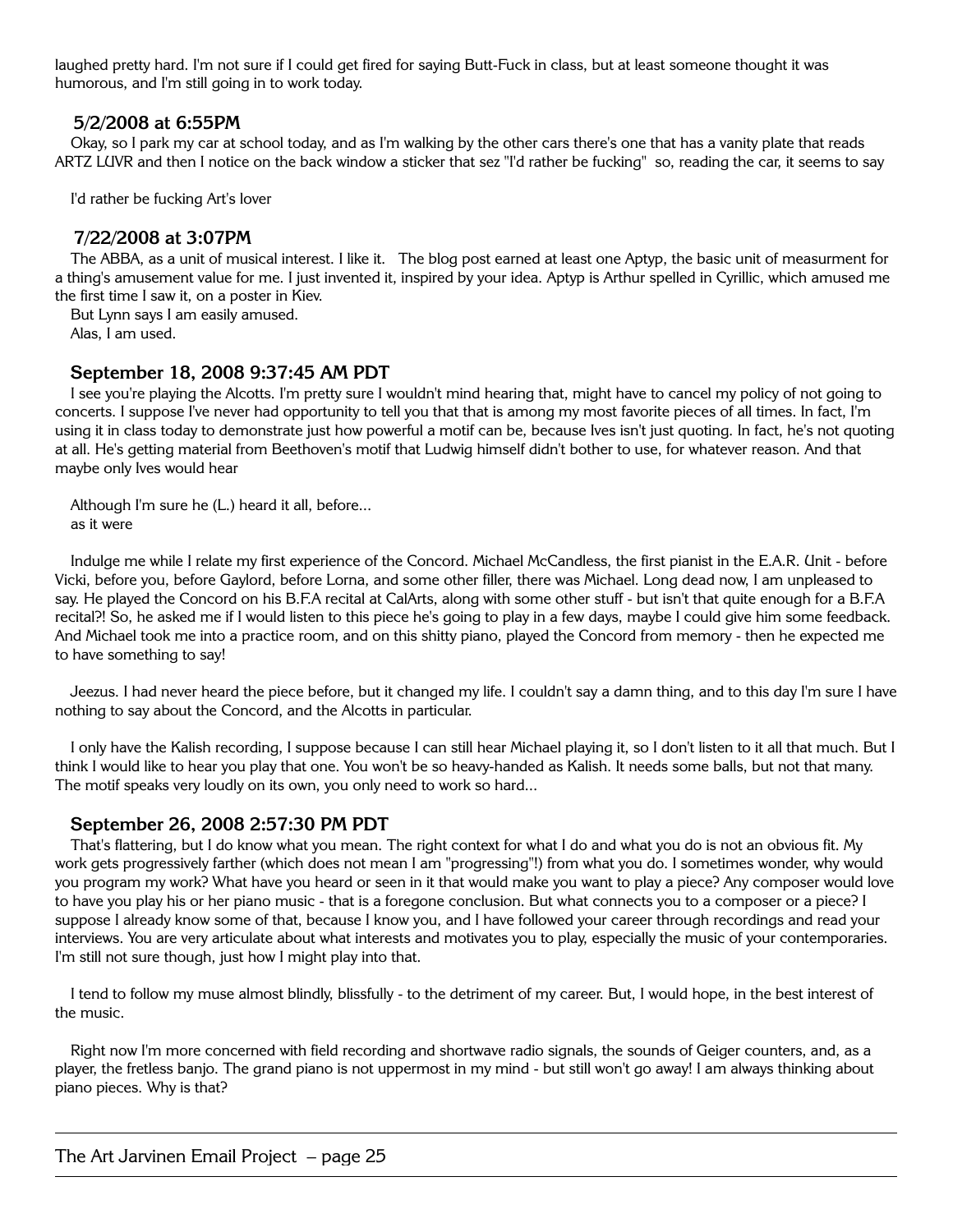laughed pretty hard. I'm not sure if I could get fired for saying Butt-Fuck in class, but at least someone thought it was humorous, and I'm still going in to work today.

#### **5/2/2008 at 6:55PM**

Okay, so I park my car at school today, and as I'm walking by the other cars there's one that has a vanity plate that reads ARTZ LUVR and then I notice on the back window a sticker that sez "I'd rather be fucking" so, reading the car, it seems to say

I'd rather be fucking Art's lover

#### **7/22/2008 at 3:07PM**

The ABBA, as a unit of musical interest. I like it. The blog post earned at least one Aptyp, the basic unit of measurment for a thing's amusement value for me. I just invented it, inspired by your idea. Aptyp is Arthur spelled in Cyrillic, which amused me the first time I saw it, on a poster in Kiev.

But Lynn says I am easily amused.

Alas, I am used.

## **September 18, 2008 9:37:45 AM PDT**

I see you're playing the Alcotts. I'm pretty sure I wouldn't mind hearing that, might have to cancel my policy of not going to concerts. I suppose I've never had opportunity to tell you that that is among my most favorite pieces of all times. In fact, I'm using it in class today to demonstrate just how powerful a motif can be, because Ives isn't just quoting. In fact, he's not quoting at all. He's getting material from Beethoven's motif that Ludwig himself didn't bother to use, for whatever reason. And that maybe only Ives would hear

Although I'm sure he (L.) heard it all, before... as it were

Indulge me while I relate my first experience of the Concord. Michael McCandless, the first pianist in the E.A.R. Unit - before Vicki, before you, before Gaylord, before Lorna, and some other filler, there was Michael. Long dead now, I am unpleased to say. He played the Concord on his B.F.A recital at CalArts, along with some other stuff - but isn't that quite enough for a B.F.A recital?! So, he asked me if I would listen to this piece he's going to play in a few days, maybe I could give him some feedback. And Michael took me into a practice room, and on this shitty piano, played the Concord from memory - then he expected me to have something to say!

Jeezus. I had never heard the piece before, but it changed my life. I couldn't say a damn thing, and to this day I'm sure I have nothing to say about the Concord, and the Alcotts in particular.

I only have the Kalish recording, I suppose because I can still hear Michael playing it, so I don't listen to it all that much. But I think I would like to hear you play that one. You won't be so heavy-handed as Kalish. It needs some balls, but not that many. The motif speaks very loudly on its own, you only need to work so hard...

#### **September 26, 2008 2:57:30 PM PDT**

That's flattering, but I do know what you mean. The right context for what I do and what you do is not an obvious fit. My work gets progressively farther (which does not mean I am "progressing"!) from what you do. I sometimes wonder, why would you program my work? What have you heard or seen in it that would make you want to play a piece? Any composer would love to have you play his or her piano music - that is a foregone conclusion. But what connects you to a composer or a piece? I suppose I already know some of that, because I know you, and I have followed your career through recordings and read your interviews. You are very articulate about what interests and motivates you to play, especially the music of your contemporaries. I'm still not sure though, just how I might play into that.

I tend to follow my muse almost blindly, blissfully - to the detriment of my career. But, I would hope, in the best interest of the music.

Right now I'm more concerned with field recording and shortwave radio signals, the sounds of Geiger counters, and, as a player, the fretless banjo. The grand piano is not uppermost in my mind - but still won't go away! I am always thinking about piano pieces. Why is that?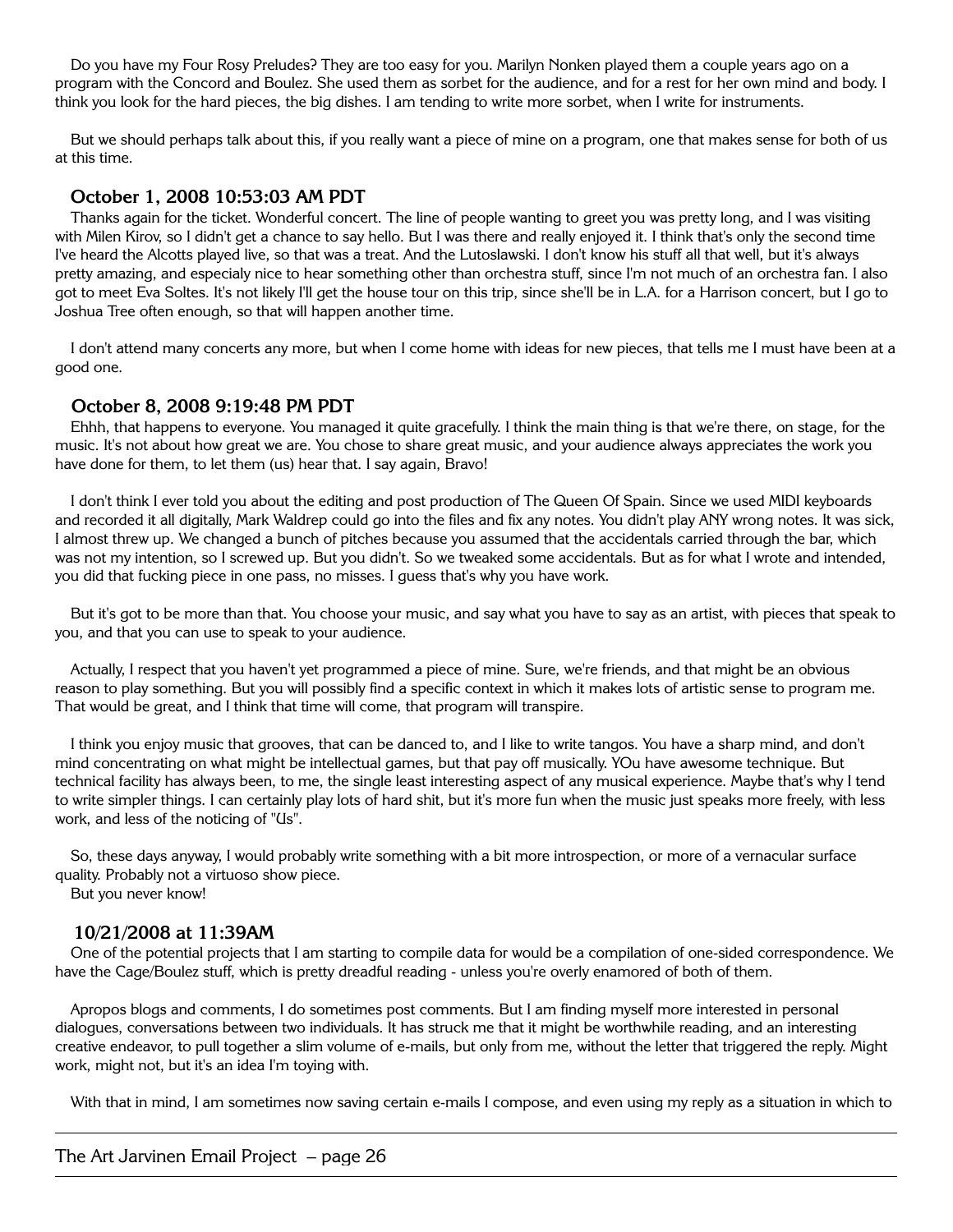Do you have my Four Rosy Preludes? They are too easy for you. Marilyn Nonken played them a couple years ago on a program with the Concord and Boulez. She used them as sorbet for the audience, and for a rest for her own mind and body. I think you look for the hard pieces, the big dishes. I am tending to write more sorbet, when I write for instruments.

But we should perhaps talk about this, if you really want a piece of mine on a program, one that makes sense for both of us at this time.

#### **October 1, 2008 10:53:03 AM PDT**

Thanks again for the ticket. Wonderful concert. The line of people wanting to greet you was pretty long, and I was visiting with Milen Kirov, so I didn't get a chance to say hello. But I was there and really enjoyed it. I think that's only the second time I've heard the Alcotts played live, so that was a treat. And the Lutoslawski. I don't know his stuff all that well, but it's always pretty amazing, and especialy nice to hear something other than orchestra stuff, since I'm not much of an orchestra fan. I also got to meet Eva Soltes. It's not likely I'll get the house tour on this trip, since she'll be in L.A. for a Harrison concert, but I go to Joshua Tree often enough, so that will happen another time.

I don't attend many concerts any more, but when I come home with ideas for new pieces, that tells me I must have been at a good one.

#### **October 8, 2008 9:19:48 PM PDT**

Ehhh, that happens to everyone. You managed it quite gracefully. I think the main thing is that we're there, on stage, for the music. It's not about how great we are. You chose to share great music, and your audience always appreciates the work you have done for them, to let them (us) hear that. I say again, Bravo!

I don't think I ever told you about the editing and post production of The Queen Of Spain. Since we used MIDI keyboards and recorded it all digitally, Mark Waldrep could go into the files and fix any notes. You didn't play ANY wrong notes. It was sick, I almost threw up. We changed a bunch of pitches because you assumed that the accidentals carried through the bar, which was not my intention, so I screwed up. But you didn't. So we tweaked some accidentals. But as for what I wrote and intended, you did that fucking piece in one pass, no misses. I guess that's why you have work.

But it's got to be more than that. You choose your music, and say what you have to say as an artist, with pieces that speak to you, and that you can use to speak to your audience.

Actually, I respect that you haven't yet programmed a piece of mine. Sure, we're friends, and that might be an obvious reason to play something. But you will possibly find a specific context in which it makes lots of artistic sense to program me. That would be great, and I think that time will come, that program will transpire.

I think you enjoy music that grooves, that can be danced to, and I like to write tangos. You have a sharp mind, and don't mind concentrating on what might be intellectual games, but that pay off musically. YOu have awesome technique. But technical facility has always been, to me, the single least interesting aspect of any musical experience. Maybe that's why I tend to write simpler things. I can certainly play lots of hard shit, but it's more fun when the music just speaks more freely, with less work, and less of the noticing of "Us".

So, these days anyway, I would probably write something with a bit more introspection, or more of a vernacular surface quality. Probably not a virtuoso show piece.

But you never know!

#### **10/21/2008 at 11:39AM**

One of the potential projects that I am starting to compile data for would be a compilation of one-sided correspondence. We have the Cage/Boulez stuff, which is pretty dreadful reading - unless you're overly enamored of both of them.

Apropos blogs and comments, I do sometimes post comments. But I am finding myself more interested in personal dialogues, conversations between two individuals. It has struck me that it might be worthwhile reading, and an interesting creative endeavor, to pull together a slim volume of e-mails, but only from me, without the letter that triggered the reply. Might work, might not, but it's an idea I'm toying with.

With that in mind, I am sometimes now saving certain e-mails I compose, and even using my reply as a situation in which to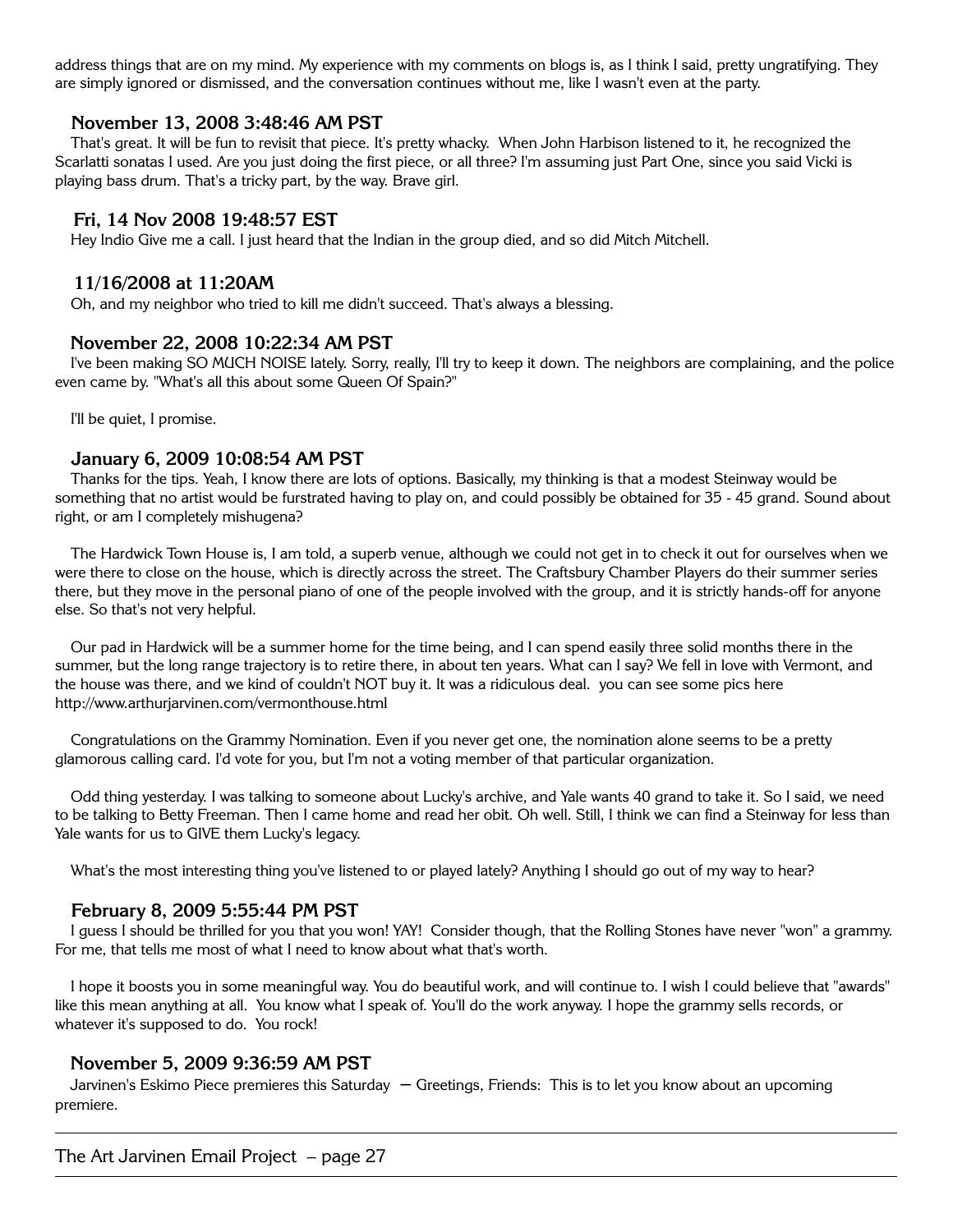address things that are on my mind. My experience with my comments on blogs is, as I think I said, pretty ungratifying. They are simply ignored or dismissed, and the conversation continues without me, like I wasn't even at the party.

#### **November 13, 2008 3:48:46 AM PST**

That's great. It will be fun to revisit that piece. It's pretty whacky. When John Harbison listened to it, he recognized the Scarlatti sonatas I used. Are you just doing the first piece, or all three? I'm assuming just Part One, since you said Vicki is playing bass drum. That's a tricky part, by the way. Brave girl.

#### **Fri, 14 Nov 2008 19:48:57 EST**

Hey Indio Give me a call. I just heard that the Indian in the group died, and so did Mitch Mitchell.

#### **11/16/2008 at 11:20AM**

Oh, and my neighbor who tried to kill me didn't succeed. That's always a blessing.

#### **November 22, 2008 10:22:34 AM PST**

I've been making SO MUCH NOISE lately. Sorry, really, I'll try to keep it down. The neighbors are complaining, and the police even came by. "What's all this about some Queen Of Spain?"

I'll be quiet, I promise.

#### **January 6, 2009 10:08:54 AM PST**

Thanks for the tips. Yeah, I know there are lots of options. Basically, my thinking is that a modest Steinway would be something that no artist would be furstrated having to play on, and could possibly be obtained for 35 - 45 grand. Sound about right, or am I completely mishugena?

The Hardwick Town House is, I am told, a superb venue, although we could not get in to check it out for ourselves when we were there to close on the house, which is directly across the street. The Craftsbury Chamber Players do their summer series there, but they move in the personal piano of one of the people involved with the group, and it is strictly hands-off for anyone else. So that's not very helpful.

Our pad in Hardwick will be a summer home for the time being, and I can spend easily three solid months there in the summer, but the long range trajectory is to retire there, in about ten years. What can I say? We fell in love with Vermont, and the house was there, and we kind of couldn't NOT buy it. It was a ridiculous deal. you can see some pics here http://www.arthurjarvinen.com/vermonthouse.html

Congratulations on the Grammy Nomination. Even if you never get one, the nomination alone seems to be a pretty glamorous calling card. I'd vote for you, but I'm not a voting member of that particular organization.

Odd thing yesterday. I was talking to someone about Lucky's archive, and Yale wants 40 grand to take it. So I said, we need to be talking to Betty Freeman. Then I came home and read her obit. Oh well. Still, I think we can find a Steinway for less than Yale wants for us to GIVE them Lucky's legacy.

What's the most interesting thing you've listened to or played lately? Anything I should go out of my way to hear?

#### **February 8, 2009 5:55:44 PM PST**

I guess I should be thrilled for you that you won! YAY! Consider though, that the Rolling Stones have never "won" a grammy. For me, that tells me most of what I need to know about what that's worth.

I hope it boosts you in some meaningful way. You do beautiful work, and will continue to. I wish I could believe that "awards" like this mean anything at all. You know what I speak of. You'll do the work anyway. I hope the grammy sells records, or whatever it's supposed to do. You rock!

#### **November 5, 2009 9:36:59 AM PST**

Jarvinen's Eskimo Piece premieres this Saturday – Greetings, Friends: This is to let you know about an upcoming premiere.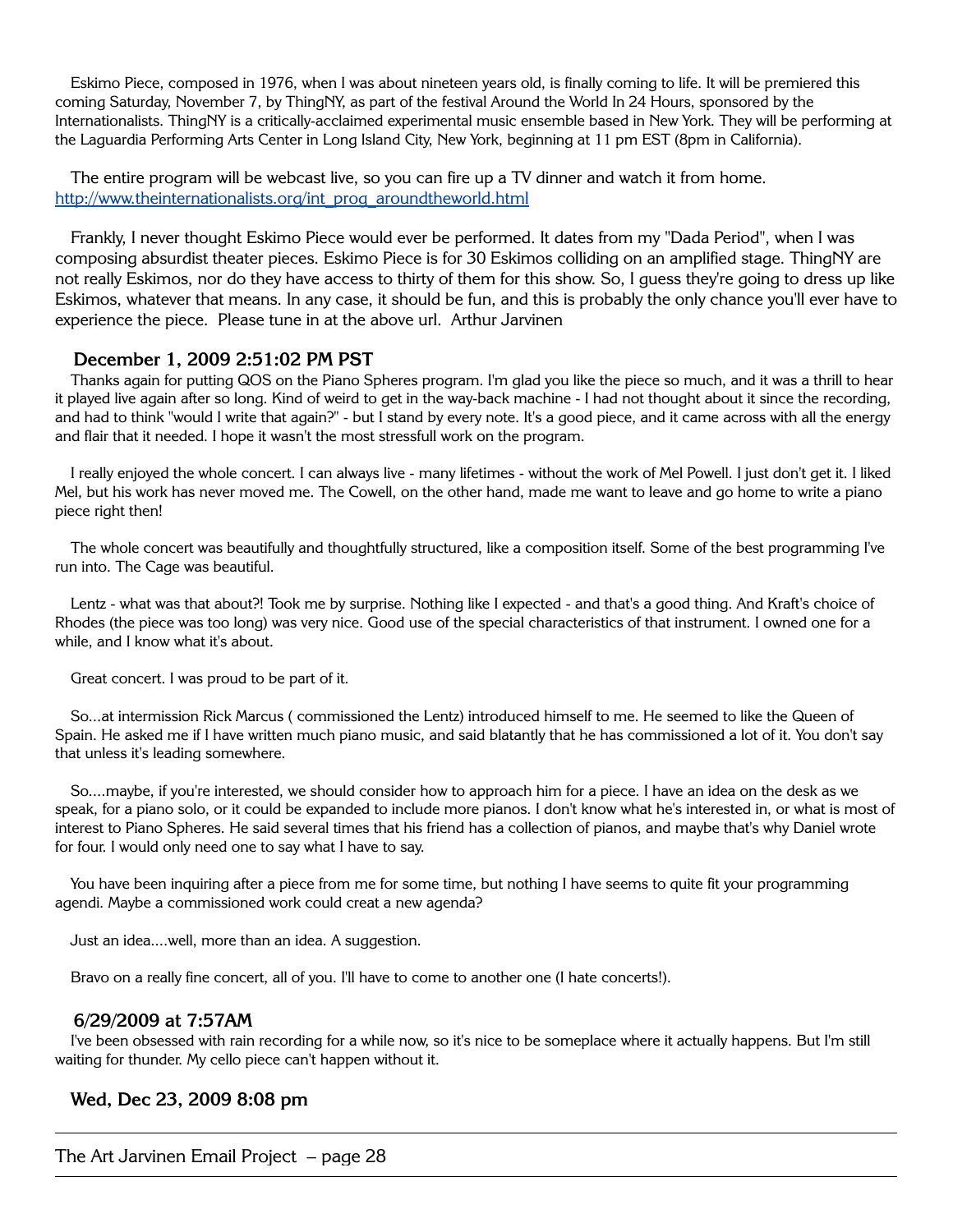Eskimo Piece, composed in 1976, when I was about nineteen years old, is finally coming to life. It will be premiered this coming Saturday, November 7, by ThingNY, as part of the festival Around the World In 24 Hours, sponsored by the Internationalists. ThingNY is a critically-acclaimed experimental music ensemble based in New York. They will be performing at the Laguardia Performing Arts Center in Long Island City, New York, beginning at 11 pm EST (8pm in California).

The entire program will be webcast live, so you can fire up a TV dinner and watch it from home. http://www.theinternationalists.org/int\_prog\_aroundtheworld.html

Frankly, I never thought Eskimo Piece would ever be performed. It dates from my "Dada Period", when I was composing absurdist theater pieces. Eskimo Piece is for 30 Eskimos colliding on an amplified stage. ThingNY are not really Eskimos, nor do they have access to thirty of them for this show. So, I guess they're going to dress up like Eskimos, whatever that means. In any case, it should be fun, and this is probably the only chance you'll ever have to experience the piece. Please tune in at the above url. Arthur Jarvinen

## **December 1, 2009 2:51:02 PM PST**

Thanks again for putting QOS on the Piano Spheres program. I'm glad you like the piece so much, and it was a thrill to hear it played live again after so long. Kind of weird to get in the way-back machine - I had not thought about it since the recording, and had to think "would I write that again?" - but I stand by every note. It's a good piece, and it came across with all the energy and flair that it needed. I hope it wasn't the most stressfull work on the program.

I really enjoyed the whole concert. I can always live - many lifetimes - without the work of Mel Powell. I just don't get it. I liked Mel, but his work has never moved me. The Cowell, on the other hand, made me want to leave and go home to write a piano piece right then!

The whole concert was beautifully and thoughtfully structured, like a composition itself. Some of the best programming I've run into. The Cage was beautiful.

Lentz - what was that about?! Took me by surprise. Nothing like I expected - and that's a good thing. And Kraft's choice of Rhodes (the piece was too long) was very nice. Good use of the special characteristics of that instrument. I owned one for a while, and I know what it's about.

Great concert. I was proud to be part of it.

So...at intermission Rick Marcus ( commissioned the Lentz) introduced himself to me. He seemed to like the Queen of Spain. He asked me if I have written much piano music, and said blatantly that he has commissioned a lot of it. You don't say that unless it's leading somewhere.

So....maybe, if you're interested, we should consider how to approach him for a piece. I have an idea on the desk as we speak, for a piano solo, or it could be expanded to include more pianos. I don't know what he's interested in, or what is most of interest to Piano Spheres. He said several times that his friend has a collection of pianos, and maybe that's why Daniel wrote for four. I would only need one to say what I have to say.

You have been inquiring after a piece from me for some time, but nothing I have seems to quite fit your programming agendi. Maybe a commissioned work could creat a new agenda?

Just an idea....well, more than an idea. A suggestion.

Bravo on a really fine concert, all of you. I'll have to come to another one (I hate concerts!).

#### **6/29/2009 at 7:57AM**

I've been obsessed with rain recording for a while now, so it's nice to be someplace where it actually happens. But I'm still waiting for thunder. My cello piece can't happen without it.

#### **Wed, Dec 23, 2009 8:08 pm**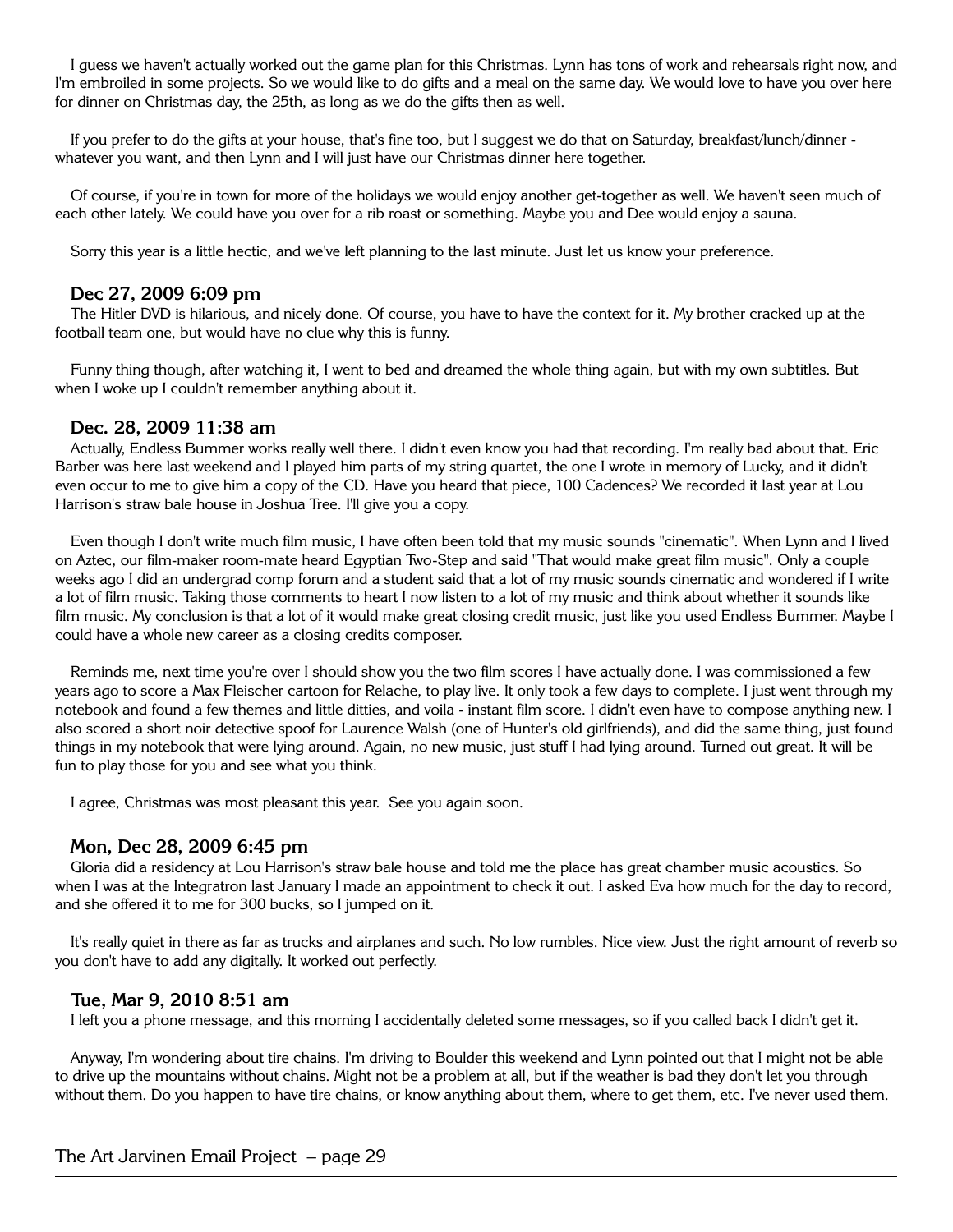I guess we haven't actually worked out the game plan for this Christmas. Lynn has tons of work and rehearsals right now, and I'm embroiled in some projects. So we would like to do gifts and a meal on the same day. We would love to have you over here for dinner on Christmas day, the 25th, as long as we do the gifts then as well.

If you prefer to do the gifts at your house, that's fine too, but I suggest we do that on Saturday, breakfast/lunch/dinner whatever you want, and then Lynn and I will just have our Christmas dinner here together.

Of course, if you're in town for more of the holidays we would enjoy another get-together as well. We haven't seen much of each other lately. We could have you over for a rib roast or something. Maybe you and Dee would enjoy a sauna.

Sorry this year is a little hectic, and we've left planning to the last minute. Just let us know your preference.

#### **Dec 27, 2009 6:09 pm**

The Hitler DVD is hilarious, and nicely done. Of course, you have to have the context for it. My brother cracked up at the football team one, but would have no clue why this is funny.

Funny thing though, after watching it, I went to bed and dreamed the whole thing again, but with my own subtitles. But when I woke up I couldn't remember anything about it.

#### **Dec. 28, 2009 11:38 am**

Actually, Endless Bummer works really well there. I didn't even know you had that recording. I'm really bad about that. Eric Barber was here last weekend and I played him parts of my string quartet, the one I wrote in memory of Lucky, and it didn't even occur to me to give him a copy of the CD. Have you heard that piece, 100 Cadences? We recorded it last year at Lou Harrison's straw bale house in Joshua Tree. I'll give you a copy.

Even though I don't write much film music, I have often been told that my music sounds "cinematic". When Lynn and I lived on Aztec, our film-maker room-mate heard Egyptian Two-Step and said "That would make great film music". Only a couple weeks ago I did an undergrad comp forum and a student said that a lot of my music sounds cinematic and wondered if I write a lot of film music. Taking those comments to heart I now listen to a lot of my music and think about whether it sounds like film music. My conclusion is that a lot of it would make great closing credit music, just like you used Endless Bummer. Maybe I could have a whole new career as a closing credits composer.

Reminds me, next time you're over I should show you the two film scores I have actually done. I was commissioned a few years ago to score a Max Fleischer cartoon for Relache, to play live. It only took a few days to complete. I just went through my notebook and found a few themes and little ditties, and voila - instant film score. I didn't even have to compose anything new. I also scored a short noir detective spoof for Laurence Walsh (one of Hunter's old girlfriends), and did the same thing, just found things in my notebook that were lying around. Again, no new music, just stuff I had lying around. Turned out great. It will be fun to play those for you and see what you think.

I agree, Christmas was most pleasant this year. See you again soon.

#### **Mon, Dec 28, 2009 6:45 pm**

Gloria did a residency at Lou Harrison's straw bale house and told me the place has great chamber music acoustics. So when I was at the Integratron last January I made an appointment to check it out. I asked Eva how much for the day to record, and she offered it to me for 300 bucks, so I jumped on it.

It's really quiet in there as far as trucks and airplanes and such. No low rumbles. Nice view. Just the right amount of reverb so you don't have to add any digitally. It worked out perfectly.

## **Tue, Mar 9, 2010 8:51 am**

I left you a phone message, and this morning I accidentally deleted some messages, so if you called back I didn't get it.

Anyway, I'm wondering about tire chains. I'm driving to Boulder this weekend and Lynn pointed out that I might not be able to drive up the mountains without chains. Might not be a problem at all, but if the weather is bad they don't let you through without them. Do you happen to have tire chains, or know anything about them, where to get them, etc. I've never used them.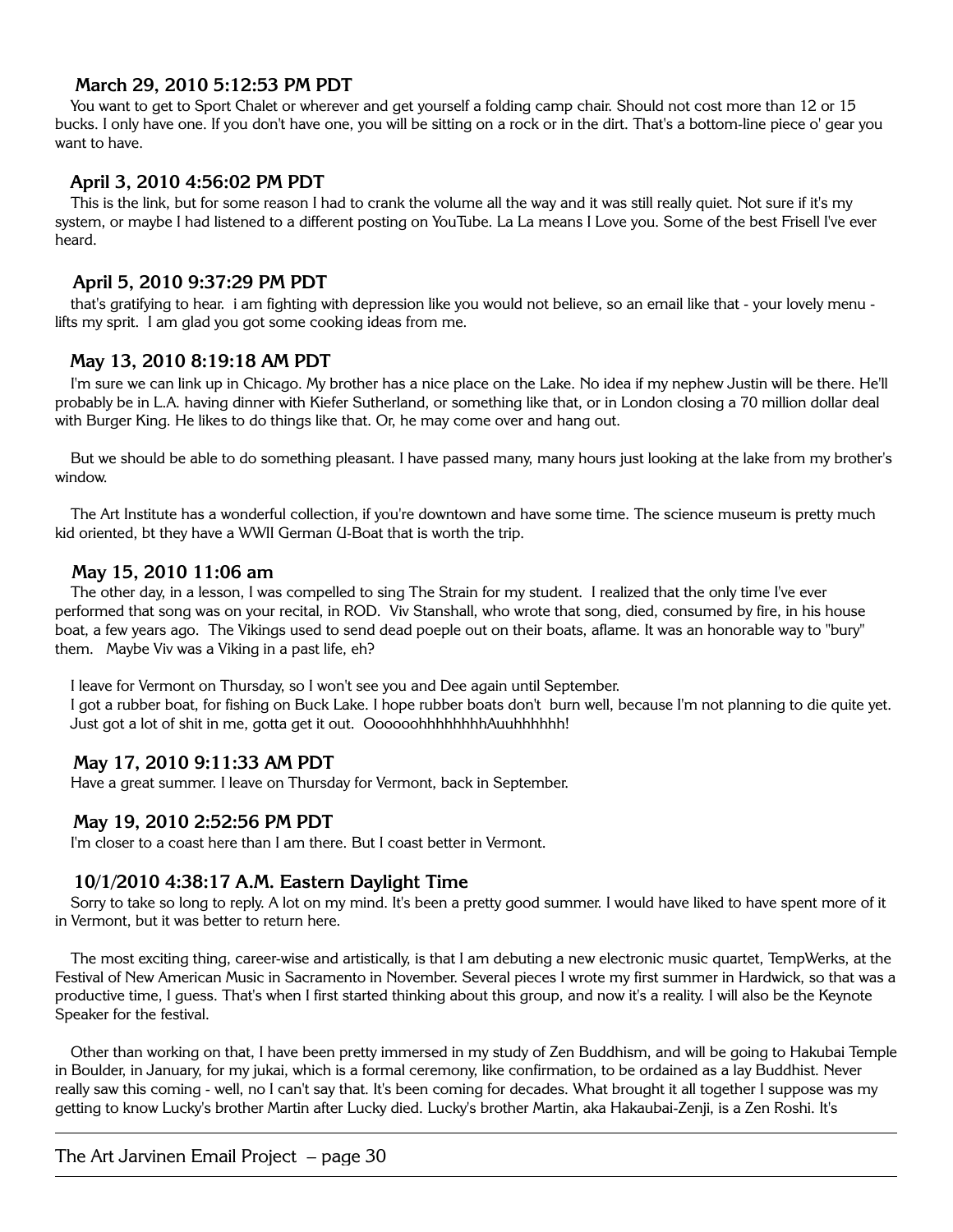# **March 29, 2010 5:12:53 PM PDT**

You want to get to Sport Chalet or wherever and get yourself a folding camp chair. Should not cost more than 12 or 15 bucks. I only have one. If you don't have one, you will be sitting on a rock or in the dirt. That's a bottom-line piece o' gear you want to have.

# **April 3, 2010 4:56:02 PM PDT**

This is the link, but for some reason I had to crank the volume all the way and it was still really quiet. Not sure if it's my system, or maybe I had listened to a different posting on YouTube. La La means I Love you. Some of the best Frisell I've ever heard.

# **April 5, 2010 9:37:29 PM PDT**

that's gratifying to hear. i am fighting with depression like you would not believe, so an email like that - your lovely menu lifts my sprit. I am glad you got some cooking ideas from me.

# **May 13, 2010 8:19:18 AM PDT**

I'm sure we can link up in Chicago. My brother has a nice place on the Lake. No idea if my nephew Justin will be there. He'll probably be in L.A. having dinner with Kiefer Sutherland, or something like that, or in London closing a 70 million dollar deal with Burger King. He likes to do things like that. Or, he may come over and hang out.

But we should be able to do something pleasant. I have passed many, many hours just looking at the lake from my brother's window.

The Art Institute has a wonderful collection, if you're downtown and have some time. The science museum is pretty much kid oriented, bt they have a WWII German U-Boat that is worth the trip.

## **May 15, 2010 11:06 am**

The other day, in a lesson, I was compelled to sing The Strain for my student. I realized that the only time I've ever performed that song was on your recital, in ROD. Viv Stanshall, who wrote that song, died, consumed by fire, in his house boat, a few years ago. The Vikings used to send dead poeple out on their boats, aflame. It was an honorable way to "bury" them. Maybe Viv was a Viking in a past life, eh?

I leave for Vermont on Thursday, so I won't see you and Dee again until September. I got a rubber boat, for fishing on Buck Lake. I hope rubber boats don't burn well, because I'm not planning to die quite yet. Just got a lot of shit in me, gotta get it out. Oooooohhhhhhhhhhhhhhhh!

# **May 17, 2010 9:11:33 AM PDT**

Have a great summer. I leave on Thursday for Vermont, back in September.

# **May 19, 2010 2:52:56 PM PDT**

I'm closer to a coast here than I am there. But I coast better in Vermont.

# **10/1/2010 4:38:17 A.M. Eastern Daylight Time**

Sorry to take so long to reply. A lot on my mind. It's been a pretty good summer. I would have liked to have spent more of it in Vermont, but it was better to return here.

The most exciting thing, career-wise and artistically, is that I am debuting a new electronic music quartet, TempWerks, at the Festival of New American Music in Sacramento in November. Several pieces I wrote my first summer in Hardwick, so that was a productive time, I guess. That's when I first started thinking about this group, and now it's a reality. I will also be the Keynote Speaker for the festival.

Other than working on that, I have been pretty immersed in my study of Zen Buddhism, and will be going to Hakubai Temple in Boulder, in January, for my jukai, which is a formal ceremony, like confirmation, to be ordained as a lay Buddhist. Never really saw this coming - well, no I can't say that. It's been coming for decades. What brought it all together I suppose was my getting to know Lucky's brother Martin after Lucky died. Lucky's brother Martin, aka Hakaubai-Zenji, is a Zen Roshi. It's